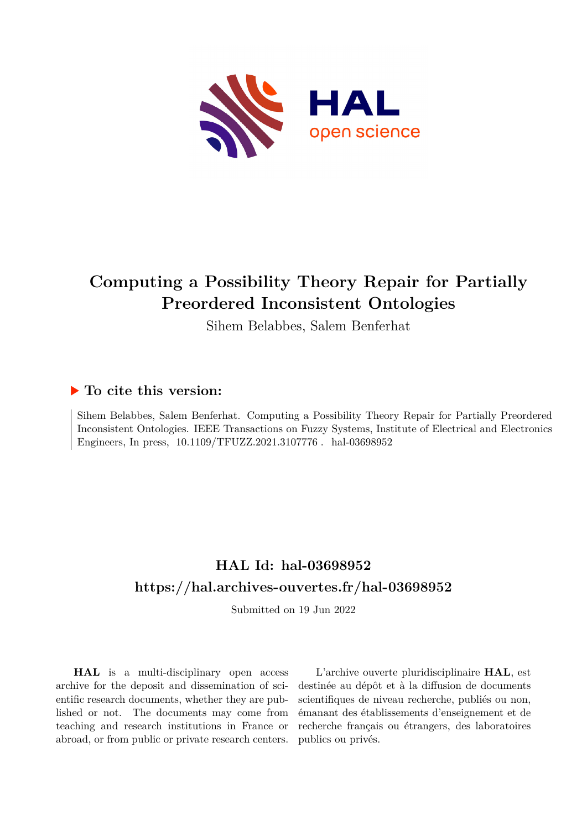

# **Computing a Possibility Theory Repair for Partially Preordered Inconsistent Ontologies**

Sihem Belabbes, Salem Benferhat

### **To cite this version:**

Sihem Belabbes, Salem Benferhat. Computing a Possibility Theory Repair for Partially Preordered Inconsistent Ontologies. IEEE Transactions on Fuzzy Systems, Institute of Electrical and Electronics Engineers, In press,  $10.1109/TFUZZ.2021.3107776$ . hal-03698952

## **HAL Id: hal-03698952 <https://hal.archives-ouvertes.fr/hal-03698952>**

Submitted on 19 Jun 2022

**HAL** is a multi-disciplinary open access archive for the deposit and dissemination of scientific research documents, whether they are published or not. The documents may come from teaching and research institutions in France or abroad, or from public or private research centers.

L'archive ouverte pluridisciplinaire **HAL**, est destinée au dépôt et à la diffusion de documents scientifiques de niveau recherche, publiés ou non, émanant des établissements d'enseignement et de recherche français ou étrangers, des laboratoires publics ou privés.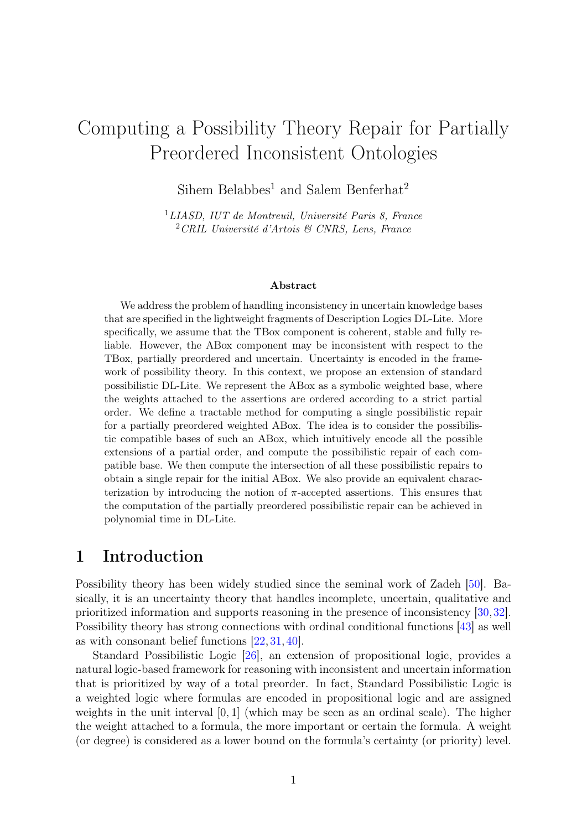# Computing a Possibility Theory Repair for Partially Preordered Inconsistent Ontologies

Sihem Belabbes<sup>1</sup> and Salem Benferhat<sup>2</sup>

<sup>1</sup>LIASD, IUT de Montreuil, Université Paris 8, France <sup>2</sup>CRIL Université d'Artois & CNRS, Lens, France

#### Abstract

We address the problem of handling inconsistency in uncertain knowledge bases that are specified in the lightweight fragments of Description Logics DL-Lite. More specifically, we assume that the TBox component is coherent, stable and fully reliable. However, the ABox component may be inconsistent with respect to the TBox, partially preordered and uncertain. Uncertainty is encoded in the framework of possibility theory. In this context, we propose an extension of standard possibilistic DL-Lite. We represent the ABox as a symbolic weighted base, where the weights attached to the assertions are ordered according to a strict partial order. We define a tractable method for computing a single possibilistic repair for a partially preordered weighted ABox. The idea is to consider the possibilistic compatible bases of such an ABox, which intuitively encode all the possible extensions of a partial order, and compute the possibilistic repair of each compatible base. We then compute the intersection of all these possibilistic repairs to obtain a single repair for the initial ABox. We also provide an equivalent characterization by introducing the notion of  $\pi$ -accepted assertions. This ensures that the computation of the partially preordered possibilistic repair can be achieved in polynomial time in DL-Lite.

### 1 Introduction

Possibility theory has been widely studied since the seminal work of Zadeh [50]. Basically, it is an uncertainty theory that handles incomplete, uncertain, qualitative and prioritized information and supports reasoning in the presence of inconsistency [30,32]. Possibility theory has strong connections with ordinal conditional functions [43] as well as with consonant belief functions [22, 31, 40].

Standard Possibilistic Logic [26], an extension of propositional logic, provides a natural logic-based framework for reasoning with inconsistent and uncertain information that is prioritized by way of a total preorder. In fact, Standard Possibilistic Logic is a weighted logic where formulas are encoded in propositional logic and are assigned weights in the unit interval  $[0, 1]$  (which may be seen as an ordinal scale). The higher the weight attached to a formula, the more important or certain the formula. A weight (or degree) is considered as a lower bound on the formula's certainty (or priority) level.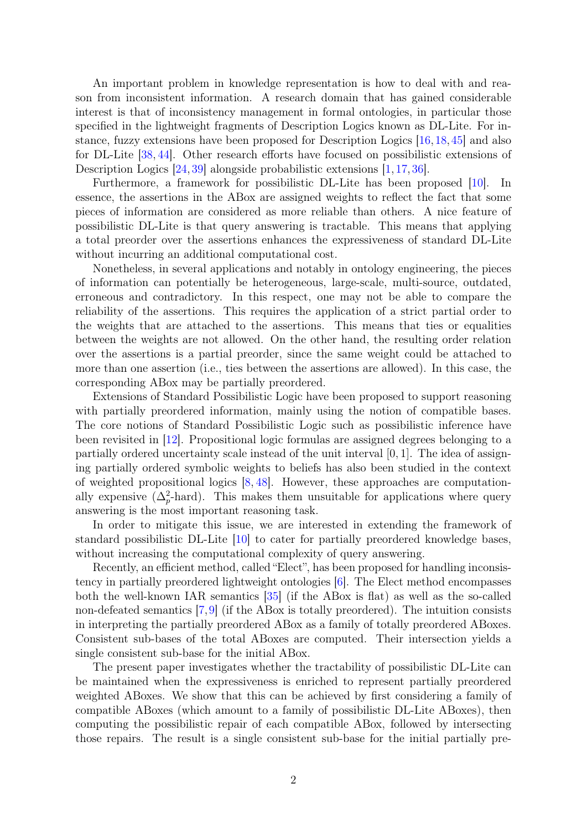An important problem in knowledge representation is how to deal with and reason from inconsistent information. A research domain that has gained considerable interest is that of inconsistency management in formal ontologies, in particular those specified in the lightweight fragments of Description Logics known as DL-Lite. For instance, fuzzy extensions have been proposed for Description Logics [16,18,45] and also for DL-Lite [38, 44]. Other research efforts have focused on possibilistic extensions of Description Logics  $[24, 39]$  alongside probabilistic extensions  $[1, 17, 36]$ .

Furthermore, a framework for possibilistic DL-Lite has been proposed [10]. In essence, the assertions in the ABox are assigned weights to reflect the fact that some pieces of information are considered as more reliable than others. A nice feature of possibilistic DL-Lite is that query answering is tractable. This means that applying a total preorder over the assertions enhances the expressiveness of standard DL-Lite without incurring an additional computational cost.

Nonetheless, in several applications and notably in ontology engineering, the pieces of information can potentially be heterogeneous, large-scale, multi-source, outdated, erroneous and contradictory. In this respect, one may not be able to compare the reliability of the assertions. This requires the application of a strict partial order to the weights that are attached to the assertions. This means that ties or equalities between the weights are not allowed. On the other hand, the resulting order relation over the assertions is a partial preorder, since the same weight could be attached to more than one assertion (i.e., ties between the assertions are allowed). In this case, the corresponding ABox may be partially preordered.

Extensions of Standard Possibilistic Logic have been proposed to support reasoning with partially preordered information, mainly using the notion of compatible bases. The core notions of Standard Possibilistic Logic such as possibilistic inference have been revisited in [12]. Propositional logic formulas are assigned degrees belonging to a partially ordered uncertainty scale instead of the unit interval [0, 1]. The idea of assigning partially ordered symbolic weights to beliefs has also been studied in the context of weighted propositional logics [8, 48]. However, these approaches are computationally expensive  $(\Delta_p^2$ -hard). This makes them unsuitable for applications where query answering is the most important reasoning task.

In order to mitigate this issue, we are interested in extending the framework of standard possibilistic DL-Lite [10] to cater for partially preordered knowledge bases, without increasing the computational complexity of query answering.

Recently, an efficient method, called "Elect", has been proposed for handling inconsistency in partially preordered lightweight ontologies [6]. The Elect method encompasses both the well-known IAR semantics [35] (if the ABox is flat) as well as the so-called non-defeated semantics [7,9] (if the ABox is totally preordered). The intuition consists in interpreting the partially preordered ABox as a family of totally preordered ABoxes. Consistent sub-bases of the total ABoxes are computed. Their intersection yields a single consistent sub-base for the initial ABox.

The present paper investigates whether the tractability of possibilistic DL-Lite can be maintained when the expressiveness is enriched to represent partially preordered weighted ABoxes. We show that this can be achieved by first considering a family of compatible ABoxes (which amount to a family of possibilistic DL-Lite ABoxes), then computing the possibilistic repair of each compatible ABox, followed by intersecting those repairs. The result is a single consistent sub-base for the initial partially pre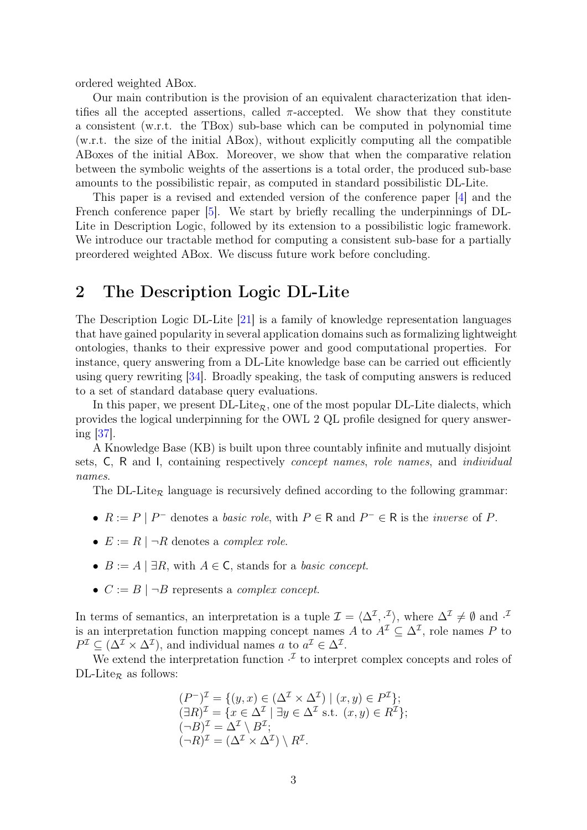ordered weighted ABox.

Our main contribution is the provision of an equivalent characterization that identifies all the accepted assertions, called  $\pi$ -accepted. We show that they constitute a consistent (w.r.t. the TBox) sub-base which can be computed in polynomial time (w.r.t. the size of the initial ABox), without explicitly computing all the compatible ABoxes of the initial ABox. Moreover, we show that when the comparative relation between the symbolic weights of the assertions is a total order, the produced sub-base amounts to the possibilistic repair, as computed in standard possibilistic DL-Lite.

This paper is a revised and extended version of the conference paper [4] and the French conference paper [5]. We start by briefly recalling the underpinnings of DL-Lite in Description Logic, followed by its extension to a possibilistic logic framework. We introduce our tractable method for computing a consistent sub-base for a partially preordered weighted ABox. We discuss future work before concluding.

### 2 The Description Logic DL-Lite

The Description Logic DL-Lite [21] is a family of knowledge representation languages that have gained popularity in several application domains such as formalizing lightweight ontologies, thanks to their expressive power and good computational properties. For instance, query answering from a DL-Lite knowledge base can be carried out efficiently using query rewriting [34]. Broadly speaking, the task of computing answers is reduced to a set of standard database query evaluations.

In this paper, we present  $DL\text{-}Life_{\mathcal{R}}$ , one of the most popular  $DL\text{-}Life$  dialects, which provides the logical underpinning for the OWL 2 QL profile designed for query answering [37].

A Knowledge Base (KB) is built upon three countably infinite and mutually disjoint sets, C, R and I, containing respectively concept names, role names, and individual names.

The DL-Lite<sub>R</sub> language is recursively defined according to the following grammar:

- $R := P | P^-$  denotes a *basic role*, with  $P \in \mathsf{R}$  and  $P^- \in \mathsf{R}$  is the *inverse* of P.
- $E := R \mid \neg R$  denotes a *complex role*.
- $B := A \mid \exists R$ , with  $A \in \mathsf{C}$ , stands for a *basic concept*.
- $C := B \mid \neg B$  represents a *complex concept*.

In terms of semantics, an interpretation is a tuple  $\mathcal{I} = \langle \Delta^{\mathcal{I}}, \cdot^{\mathcal{I}} \rangle$ , where  $\Delta^{\mathcal{I}} \neq \emptyset$  and  $\cdot^{\mathcal{I}}$ is an interpretation function mapping concept names A to  $A^{\mathcal{I}} \subseteq \Delta^{\mathcal{I}}$ , role names P to  $P^{\mathcal{I}} \subseteq (\Delta^{\mathcal{I}} \times \Delta^{\mathcal{I}})$ , and individual names a to  $a^{\mathcal{I}} \in \Delta^{\mathcal{I}}$ .

We extend the interpretation function  $\cdot^{\mathcal{I}}$  to interpret complex concepts and roles of DL-Lite<sub>R</sub> as follows:

$$
(P^{-})^{\mathcal{I}} = \{ (y, x) \in (\Delta^{\mathcal{I}} \times \Delta^{\mathcal{I}}) \mid (x, y) \in P^{\mathcal{I}} \};
$$
  
\n
$$
(\exists R)^{\mathcal{I}} = \{ x \in \Delta^{\mathcal{I}} \mid \exists y \in \Delta^{\mathcal{I}} \text{ s.t. } (x, y) \in R^{\mathcal{I}} \};
$$
  
\n
$$
(\neg B)^{\mathcal{I}} = \Delta^{\mathcal{I}} \setminus B^{\mathcal{I}};
$$
  
\n
$$
(\neg R)^{\mathcal{I}} = (\Delta^{\mathcal{I}} \times \Delta^{\mathcal{I}}) \setminus R^{\mathcal{I}}.
$$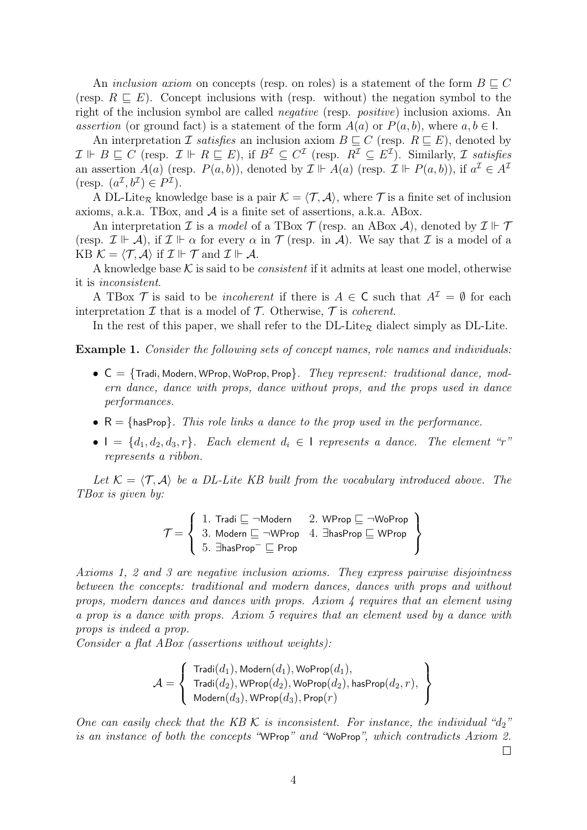An inclusion axiom on concepts (resp. on roles) is a statement of the form  $B \sqsubset C$ (resp.  $R \subseteq E$ ). Concept inclusions with (resp. without) the negation symbol to the right of the inclusion symbol are called negative (resp. positive) inclusion axioms. An assertion (or ground fact) is a statement of the form  $A(a)$  or  $P(a, b)$ , where  $a, b \in I$ .

An interpretation *I satisfies* an inclusion axiom  $B \subseteq C$  (resp.  $R \subseteq E$ ), denoted by  $\mathcal{I} \Vdash B \sqsubseteq C$  (resp.  $\mathcal{I} \Vdash R \sqsubseteq E$ ), if  $B^{\mathcal{I}} \subseteq C^{\mathcal{I}}$  (resp.  $R^{\mathcal{I}} \subseteq E^{\mathcal{I}}$ ). Similarly,  $\mathcal{I}$  satisfies an assertion  $A(a)$  (resp.  $P(a, b)$ ), denoted by  $\mathcal{I} \Vdash A(a)$  (resp.  $\mathcal{I} \Vdash P(a, b)$ ), if  $a^{\mathcal{I}} \in A^{\mathcal{I}}$ (resp.  $(a^{\mathcal{I}}, b^{\mathcal{I}}) \in P^{\mathcal{I}}$ ).

A DL-Lite<sub>R</sub> knowledge base is a pair  $\mathcal{K} = \langle \mathcal{T}, \mathcal{A} \rangle$ , where  $\mathcal{T}$  is a finite set of inclusion axioms, a.k.a. TBox, and A is a finite set of assertions, a.k.a. ABox.

An interpretation  $\mathcal I$  is a model of a TBox  $\mathcal T$  (resp. an ABox  $\mathcal A$ ), denoted by  $\mathcal I \Vdash \mathcal T$ (resp.  $\mathcal{I} \Vdash \mathcal{A}$ ), if  $\mathcal{I} \Vdash \alpha$  for every  $\alpha$  in  $\mathcal{T}$  (resp. in  $\mathcal{A}$ ). We say that  $\mathcal{I}$  is a model of a KB  $\mathcal{K} = \langle \mathcal{T}, \mathcal{A} \rangle$  if  $\mathcal{I} \Vdash \mathcal{T}$  and  $\mathcal{I} \Vdash \mathcal{A}$ .

A knowledge base  $K$  is said to be *consistent* if it admits at least one model, otherwise it is inconsistent.

A TBox T is said to be *incoherent* if there is  $A \in \mathsf{C}$  such that  $A^{\mathcal{I}} = \emptyset$  for each interpretation  $\mathcal I$  that is a model of  $\mathcal T$ . Otherwise,  $\mathcal T$  is *coherent*.

In the rest of this paper, we shall refer to the  $DL\text{-}Life$  dialect simply as DL-Lite.

Example 1. Consider the following sets of concept names, role names and individuals:

- $C = \{$ Tradi, Modern, WProp, WoProp, Prop $\}$ . They represent: traditional dance, modern dance, dance with props, dance without props, and the props used in dance performances.
- $R = \{hasProp\}$ . This role links a dance to the prop used in the performance.
- $I = \{d_1, d_2, d_3, r\}$ . Each element  $d_i \in I$  represents a dance. The element "r" represents a ribbon.

Let  $\mathcal{K} = \langle \mathcal{T}, \mathcal{A} \rangle$  be a DL-Lite KB built from the vocabulary introduced above. The TBox is given by:

$$
\mathcal{T} = \left\{ \begin{array}{ll} 1. \; \text{Tradi} \sqsubseteq \neg \text{Modern} & 2. \; \text{WProp} \sqsubseteq \neg \text{WoProp} \\ 3. \; \text{Modern} \sqsubseteq \neg \text{WProp} & 4. \; \exists \text{hasProp} \sqsubseteq \text{WProp} \\ 5. \; \exists \text{hasProp}^{-} \sqsubseteq \text{Prop} & \end{array} \right\}
$$

Axioms 1, 2 and 3 are negative inclusion axioms. They express pairwise disjointness between the concepts: traditional and modern dances, dances with props and without props, modern dances and dances with props. Axiom 4 requires that an element using a prop is a dance with props. Axiom 5 requires that an element used by a dance with props is indeed a prop.

Consider a flat ABox (assertions without weights):

$$
\mathcal{A} = \left\{\begin{array}{l}\text{Tradi}(d_1), \text{Modern}(d_1), \text{WoProp}(d_1), \\ \text{Tradi}(d_2), \text{WProp}(d_2), \text{WoProp}(d_2), \text{hasProp}(d_2, r), \\ \text{Modern}(d_3), \text{WProp}(d_3), \text{Prop}(r)\end{array}\right\}
$$

One can easily check that the KB  $K$  is inconsistent. For instance, the individual " $d_2$ " is an instance of both the concepts "WProp" and "WoProp", which contradicts Axiom 2.

 $\Box$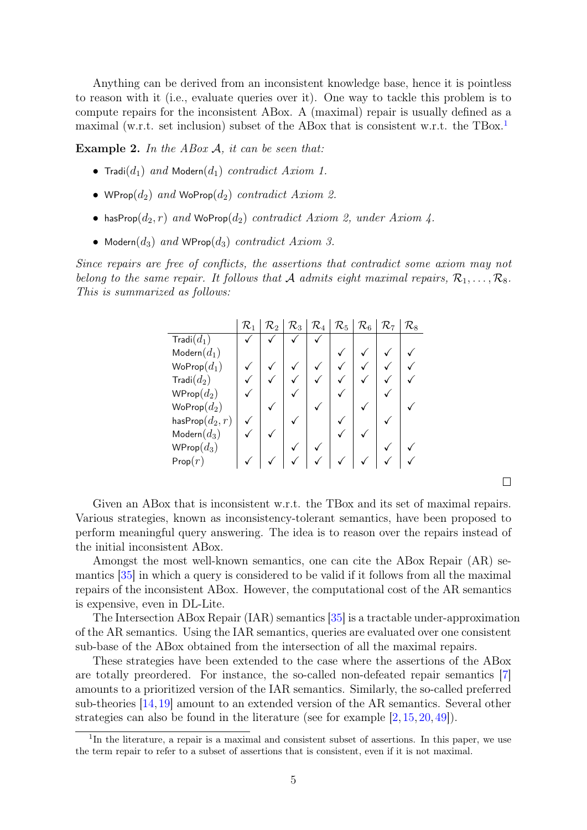Anything can be derived from an inconsistent knowledge base, hence it is pointless to reason with it (i.e., evaluate queries over it). One way to tackle this problem is to compute repairs for the inconsistent ABox. A (maximal) repair is usually defined as a maximal (w.r.t. set inclusion) subset of the ABox that is consistent w.r.t. the TBox.1

**Example 2.** In the ABox  $A$ , it can be seen that:

- Tradi $(d_1)$  and Modern $(d_1)$  contradict Axiom 1.
- WProp $(d_2)$  and WoProp $(d_2)$  contradict Axiom 2.
- hasProp $(d_2, r)$  and WoProp $(d_2)$  contradict Axiom 2, under Axiom 4.
- Modern $(d_3)$  and WProp $(d_3)$  contradict Axiom 3.

Since repairs are free of conflicts, the assertions that contradict some axiom may not belong to the same repair. It follows that A admits eight maximal repairs,  $\mathcal{R}_1, \ldots, \mathcal{R}_8$ . This is summarized as follows:

|                            | $\mathcal{R}_1$ | $\mathcal{R}_2$ | $\mathcal{R}_3$ | $\mathcal{R}_4$ | $\mathcal{R}_5$ | $\mathcal{R}_6$ | $\mathcal{R}_7$ | $\mathcal{R}_8$ |
|----------------------------|-----------------|-----------------|-----------------|-----------------|-----------------|-----------------|-----------------|-----------------|
| $\mathsf{Tradi}(d_1)$      |                 |                 |                 |                 |                 |                 |                 |                 |
| $\mathsf{Modern}(d_1)$     |                 |                 |                 |                 |                 |                 |                 |                 |
| $\mathsf{WoProp}(d_1)$     |                 |                 |                 |                 |                 |                 |                 |                 |
| $\mathsf{Tradi}(d_2)$      |                 |                 |                 |                 |                 |                 |                 |                 |
| $WProp(d_2)$               |                 |                 |                 |                 |                 |                 |                 |                 |
| $\mathsf{WoProp}(d_2)$     |                 |                 |                 |                 |                 |                 |                 |                 |
| has $\mathsf{Prop}(d_2,r)$ |                 |                 |                 |                 |                 |                 |                 |                 |
| $\mathsf{Modern}(d_3)$     |                 |                 |                 |                 |                 |                 |                 |                 |
| $WProp(d_3)$               |                 |                 |                 |                 |                 |                 |                 |                 |
| Prop(r)                    |                 |                 |                 |                 |                 |                 |                 |                 |

 $\Box$ 

Given an ABox that is inconsistent w.r.t. the TBox and its set of maximal repairs. Various strategies, known as inconsistency-tolerant semantics, have been proposed to perform meaningful query answering. The idea is to reason over the repairs instead of the initial inconsistent ABox.

Amongst the most well-known semantics, one can cite the ABox Repair (AR) semantics [35] in which a query is considered to be valid if it follows from all the maximal repairs of the inconsistent ABox. However, the computational cost of the AR semantics is expensive, even in DL-Lite.

The Intersection ABox Repair (IAR) semantics [35] is a tractable under-approximation of the AR semantics. Using the IAR semantics, queries are evaluated over one consistent sub-base of the ABox obtained from the intersection of all the maximal repairs.

These strategies have been extended to the case where the assertions of the ABox are totally preordered. For instance, the so-called non-defeated repair semantics [7] amounts to a prioritized version of the IAR semantics. Similarly, the so-called preferred sub-theories [14,19] amount to an extended version of the AR semantics. Several other strategies can also be found in the literature (see for example [2, 15, 20, 49]).

<sup>&</sup>lt;sup>1</sup>In the literature, a repair is a maximal and consistent subset of assertions. In this paper, we use the term repair to refer to a subset of assertions that is consistent, even if it is not maximal.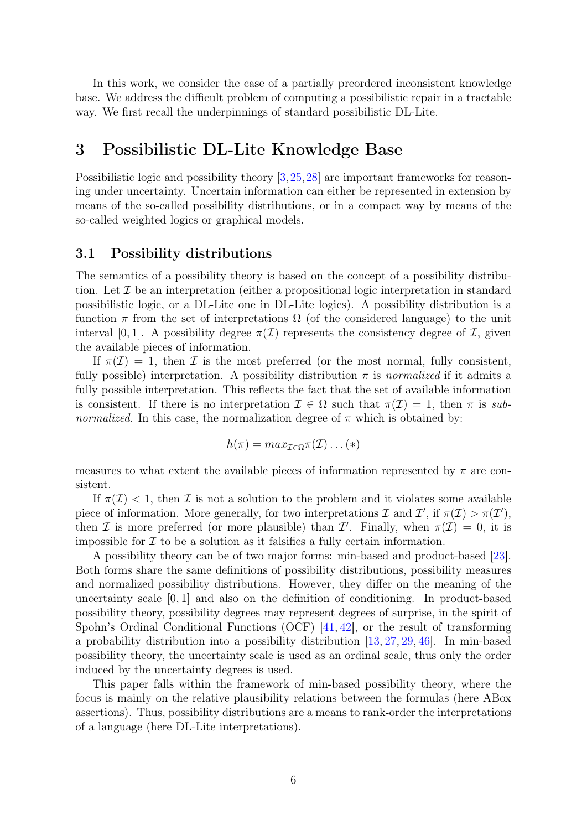In this work, we consider the case of a partially preordered inconsistent knowledge base. We address the difficult problem of computing a possibilistic repair in a tractable way. We first recall the underpinnings of standard possibilistic DL-Lite.

### 3 Possibilistic DL-Lite Knowledge Base

Possibilistic logic and possibility theory [3,25,28] are important frameworks for reasoning under uncertainty. Uncertain information can either be represented in extension by means of the so-called possibility distributions, or in a compact way by means of the so-called weighted logics or graphical models.

#### 3.1 Possibility distributions

The semantics of a possibility theory is based on the concept of a possibility distribution. Let  $\mathcal I$  be an interpretation (either a propositional logic interpretation in standard possibilistic logic, or a DL-Lite one in DL-Lite logics). A possibility distribution is a function  $\pi$  from the set of interpretations  $\Omega$  (of the considered language) to the unit interval [0, 1]. A possibility degree  $\pi(\mathcal{I})$  represents the consistency degree of  $\mathcal{I}$ , given the available pieces of information.

If  $\pi(\mathcal{I}) = 1$ , then  $\mathcal I$  is the most preferred (or the most normal, fully consistent, fully possible) interpretation. A possibility distribution  $\pi$  is normalized if it admits a fully possible interpretation. This reflects the fact that the set of available information is consistent. If there is no interpretation  $\mathcal{I} \in \Omega$  such that  $\pi(\mathcal{I}) = 1$ , then  $\pi$  is sub*normalized*. In this case, the normalization degree of  $\pi$  which is obtained by:

$$
h(\pi) = max_{\mathcal{I} \in \Omega} \pi(\mathcal{I}) \dots (*)
$$

measures to what extent the available pieces of information represented by  $\pi$  are consistent.

If  $\pi(\mathcal{I}) < 1$ , then  $\mathcal I$  is not a solution to the problem and it violates some available piece of information. More generally, for two interpretations  $\mathcal I$  and  $\mathcal I'$ , if  $\pi(\mathcal I) > \pi(\mathcal I')$ , then I is more preferred (or more plausible) than I'. Finally, when  $\pi(\mathcal{I}) = 0$ , it is impossible for  $\mathcal I$  to be a solution as it falsifies a fully certain information.

A possibility theory can be of two major forms: min-based and product-based [23]. Both forms share the same definitions of possibility distributions, possibility measures and normalized possibility distributions. However, they differ on the meaning of the uncertainty scale [0, 1] and also on the definition of conditioning. In product-based possibility theory, possibility degrees may represent degrees of surprise, in the spirit of Spohn's Ordinal Conditional Functions (OCF) [41, 42], or the result of transforming a probability distribution into a possibility distribution [13, 27, 29, 46]. In min-based possibility theory, the uncertainty scale is used as an ordinal scale, thus only the order induced by the uncertainty degrees is used.

This paper falls within the framework of min-based possibility theory, where the focus is mainly on the relative plausibility relations between the formulas (here ABox assertions). Thus, possibility distributions are a means to rank-order the interpretations of a language (here DL-Lite interpretations).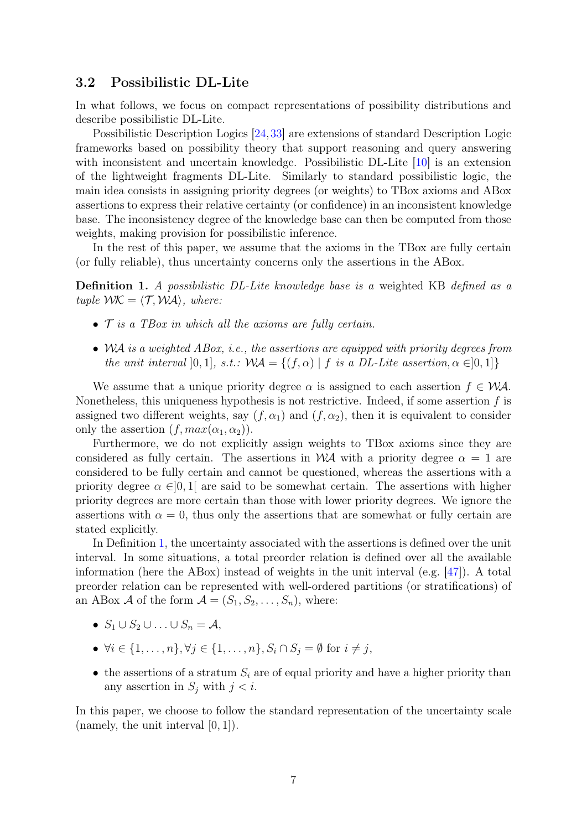### 3.2 Possibilistic DL-Lite

In what follows, we focus on compact representations of possibility distributions and describe possibilistic DL-Lite.

Possibilistic Description Logics [24,33] are extensions of standard Description Logic frameworks based on possibility theory that support reasoning and query answering with inconsistent and uncertain knowledge. Possibilistic DL-Lite [10] is an extension of the lightweight fragments DL-Lite. Similarly to standard possibilistic logic, the main idea consists in assigning priority degrees (or weights) to TBox axioms and ABox assertions to express their relative certainty (or confidence) in an inconsistent knowledge base. The inconsistency degree of the knowledge base can then be computed from those weights, making provision for possibilistic inference.

In the rest of this paper, we assume that the axioms in the TBox are fully certain (or fully reliable), thus uncertainty concerns only the assertions in the ABox.

Definition 1. A possibilistic DL-Lite knowledge base is a weighted KB defined as a tuple  $WK = \langle T, WA \rangle$ , where:

- $\bullet$   $\mathcal T$  is a TBox in which all the axioms are fully certain.
- WA is a weighted ABox, i.e., the assertions are equipped with priority degrees from the unit interval [0, 1], s.t.:  $\mathcal{WA} = \{(f, \alpha) | f \text{ is a DL-Lite assertion}, \alpha \in ]0,1]\}$

We assume that a unique priority degree  $\alpha$  is assigned to each assertion  $f \in \mathcal{WA}$ . Nonetheless, this uniqueness hypothesis is not restrictive. Indeed, if some assertion  $f$  is assigned two different weights, say  $(f, \alpha_1)$  and  $(f, \alpha_2)$ , then it is equivalent to consider only the assertion  $(f, max(\alpha_1, \alpha_2)).$ 

Furthermore, we do not explicitly assign weights to TBox axioms since they are considered as fully certain. The assertions in WA with a priority degree  $\alpha = 1$  are considered to be fully certain and cannot be questioned, whereas the assertions with a priority degree  $\alpha \in ]0,1]$  are said to be somewhat certain. The assertions with higher priority degrees are more certain than those with lower priority degrees. We ignore the assertions with  $\alpha = 0$ , thus only the assertions that are somewhat or fully certain are stated explicitly.

In Definition 1, the uncertainty associated with the assertions is defined over the unit interval. In some situations, a total preorder relation is defined over all the available information (here the ABox) instead of weights in the unit interval (e.g. [47]). A total preorder relation can be represented with well-ordered partitions (or stratifications) of an ABox A of the form  $A = (S_1, S_2, \ldots, S_n)$ , where:

- $S_1 \cup S_2 \cup \ldots \cup S_n = A$
- $\forall i \in \{1, \ldots, n\}, \forall j \in \{1, \ldots, n\}, S_i \cap S_j = \emptyset$  for  $i \neq j$ ,
- the assertions of a stratum  $S_i$  are of equal priority and have a higher priority than any assertion in  $S_i$  with  $j < i$ .

In this paper, we choose to follow the standard representation of the uncertainty scale (namely, the unit interval [0, 1]).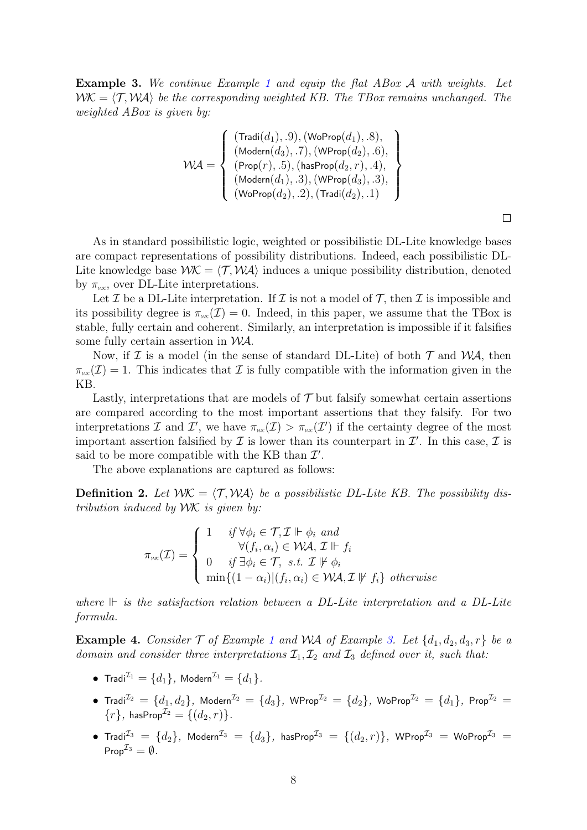Example 3. We continue Example 1 and equip the flat ABox A with weights. Let  $WK = \langle T, WA \rangle$  be the corresponding weighted KB. The TBox remains unchanged. The weighted ABox is given by:

$$
\mathcal{WA} = \left\{\begin{array}{l}\left(\text{Tradi}(d_1), .9\right),\left(\text{WoProp}(d_1), .8\right), \\ \left(\text{Modern}(d_3), .7\right),\left(\text{WProp}(d_2), .6\right), \\ \left(\text{Prop}(r), .5\right),\left(\text{hasProp}(d_2, r), .4\right), \\ \left(\text{Modern}(d_1), .3\right),\left(\text{WProp}(d_3), .3\right), \\ \left(\text{WoProp}(d_2), .2\right),\left(\text{Tradi}(d_2), .1\right)\end{array}\right\}
$$

 $\Box$ 

As in standard possibilistic logic, weighted or possibilistic DL-Lite knowledge bases are compact representations of possibility distributions. Indeed, each possibilistic DL-Lite knowledge base  $WK = \langle T, WA \rangle$  induces a unique possibility distribution, denoted by  $\pi_{\scriptscriptstyle{\text{WK}}}$ , over DL-Lite interpretations.

Let  $\mathcal I$  be a DL-Lite interpretation. If  $\mathcal I$  is not a model of  $\mathcal T$ , then  $\mathcal I$  is impossible and its possibility degree is  $\pi_{\scriptscriptstyle{WK}}(\mathcal{I}) = 0$ . Indeed, in this paper, we assume that the TBox is stable, fully certain and coherent. Similarly, an interpretation is impossible if it falsifies some fully certain assertion in WA.

Now, if  $\mathcal I$  is a model (in the sense of standard DL-Lite) of both  $\mathcal T$  and  $\mathcal WA$ , then  $\pi_{\text{wK}}(\mathcal{I}) = 1$ . This indicates that  $\mathcal I$  is fully compatible with the information given in the KB.

Lastly, interpretations that are models of  $\mathcal T$  but falsify somewhat certain assertions are compared according to the most important assertions that they falsify. For two interpretations I and I', we have  $\pi_{\scriptscriptstyle{WK}}(\mathcal{I}) > \pi_{\scriptscriptstyle{WK}}(\mathcal{I}')$  if the certainty degree of the most important assertion falsified by  $\mathcal I$  is lower than its counterpart in  $\mathcal I'$ . In this case,  $\mathcal I$  is said to be more compatible with the KB than  $\mathcal{I}'$ .

The above explanations are captured as follows:

**Definition 2.** Let  $WK = \langle T, WA \rangle$  be a possibilistic DL-Lite KB. The possibility distribution induced by WK is given by:

$$
\pi_{\text{sw}}(\mathcal{I}) = \begin{cases}\n1 & \text{if } \forall \phi_i \in \mathcal{T}, \mathcal{I} \Vdash \phi_i \text{ and} \\
& \forall (f_i, \alpha_i) \in \mathcal{WA}, \mathcal{I} \Vdash f_i \\
0 & \text{if } \exists \phi_i \in \mathcal{T}, \text{ s.t. } \mathcal{I} \not\Vdash \phi_i \\
\min\{(1 - \alpha_i) | (f_i, \alpha_i) \in \mathcal{WA}, \mathcal{I} \not\Vdash f_i\} \text{ otherwise}\n\end{cases}
$$

where  $\mathbb{F}$  is the satisfaction relation between a DL-Lite interpretation and a DL-Lite formula.

**Example 4.** Consider  $\mathcal{T}$  of Example 1 and WA of Example 3. Let  $\{d_1, d_2, d_3, r\}$  be a domain and consider three interpretations  $\mathcal{I}_1, \mathcal{I}_2$  and  $\mathcal{I}_3$  defined over it, such that:

- Tradi $I_1 = \{d_1\}$ , Modern $I_1 = \{d_1\}$ .
- $\bullet$  Tradi $^{ {\cal I} 2}$   $=$   $\{d_1,d_2\},$  Modern $^{ {\cal I} 2}$   $=$   $\{d_3\},$  WProp $^{ {\cal I} 2}$   $=$   $\{d_2\},$  WoProp $^{ {\cal I} 2}$   $=$   $\{d_1\},$  Prop $^{ {\cal I} 2}$   $=$  ${r},$  hasProp $^{\mathcal{I}_2} = \{(d_2, r)\}.$
- Tradi $^{I_3}$  =  $\{d_2\}$ , Modern $^{I_3}$  =  $\{d_3\}$ , hasProp $^{I_3}$  =  $\{(d_2,r)\}$ , WProp $^{I_3}$  = WoProp $^{I_3}$  = Prop $^{\mathcal{I}_3} = \emptyset$ .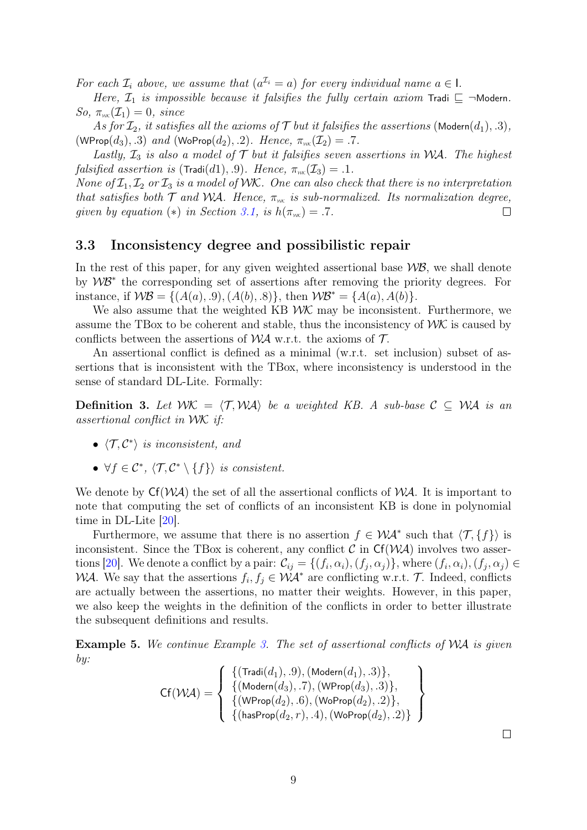For each  $\mathcal{I}_i$  above, we assume that  $(a^{\mathcal{I}_i} = a)$  for every individual name  $a \in I$ .

Here,  $\mathcal{I}_1$  is impossible because it falsifies the fully certain axiom Tradi  $\sqsubseteq \neg \mathsf{Modern}$ .  $So, \pi_{\scriptscriptstyle \mathcal{W}\scriptscriptstyle \mathcal{K}}(\mathcal{I}_1) = 0, \ since$ 

As for  $\mathcal{I}_2$ , it satisfies all the axioms of  $\mathcal T$  but it falsifies the assertions (Modern $(d_1), .3$ ), (WProp $(d_3)$ , .3) and (WoProp $(d_2)$ , .2). Hence,  $\pi_{\text{wK}}(\mathcal{I}_2) = .7$ .

Lastly,  $\mathcal{I}_3$  is also a model of  $\mathcal T$  but it falsifies seven assertions in WA. The highest falsified assertion is (Tradi(d1), 9). Hence,  $\pi_{\scriptscriptstyle{W}(\mathcal{X})}(\mathcal{I}_{3}) = .1$ .

None of  $\mathcal{I}_1, \mathcal{I}_2$  or  $\mathcal{I}_3$  is a model of WK. One can also check that there is no interpretation that satisfies both  $\mathcal T$  and WA. Hence,  $\pi_{\scriptscriptstyle{W\!\!K}}$  is sub-normalized. Its normalization degree, given by equation (\*) in Section 3.1, is  $h(\pi_{w\kappa}) = .7$ .  $\Box$ 

#### 3.3 Inconsistency degree and possibilistic repair

In the rest of this paper, for any given weighted assertional base  $W\mathcal{B}$ , we shall denote by WB<sup>∗</sup> the corresponding set of assertions after removing the priority degrees. For instance, if  $W\mathcal{B} = \{(A(a), .9), (A(b), .8)\}\$ , then  $W\mathcal{B}^* = \{A(a), A(b)\}\$ .

We also assume that the weighted KB  $W\mathcal{K}$  may be inconsistent. Furthermore, we assume the TBox to be coherent and stable, thus the inconsistency of  $WK$  is caused by conflicts between the assertions of  $W\mathcal{A}$  w.r.t. the axioms of  $\mathcal{T}$ .

An assertional conflict is defined as a minimal (w.r.t. set inclusion) subset of assertions that is inconsistent with the TBox, where inconsistency is understood in the sense of standard DL-Lite. Formally:

**Definition 3.** Let  $WK = \langle T, WA \rangle$  be a weighted KB. A sub-base  $C \subseteq WA$  is an assertional conflict in WK if:

- $\langle \mathcal{T}, \mathcal{C}^* \rangle$  is inconsistent, and
- $\forall f \in C^*, \ \langle \mathcal{T}, C^* \setminus \{f\} \rangle$  is consistent.

We denote by  $Cf(\mathcal{WA})$  the set of all the assertional conflicts of  $\mathcal{WA}$ . It is important to note that computing the set of conflicts of an inconsistent KB is done in polynomial time in DL-Lite [20].

Furthermore, we assume that there is no assertion  $f \in \mathcal{WA}^*$  such that  $\langle \mathcal{T}, \{f\} \rangle$  is inconsistent. Since the TBox is coherent, any conflict  $\mathcal C$  in  $Cf(\mathcal{WA})$  involves two assertions [20]. We denote a conflict by a pair:  $\mathcal{C}_{ij} = \{(f_i, \alpha_i), (f_j, \alpha_j)\}\$ , where  $(f_i, \alpha_i), (f_j, \alpha_j) \in$ WA. We say that the assertions  $f_i, f_j \in \mathcal{WA}^*$  are conflicting w.r.t. T. Indeed, conflicts are actually between the assertions, no matter their weights. However, in this paper, we also keep the weights in the definition of the conflicts in order to better illustrate the subsequent definitions and results.

**Example 5.** We continue Example 3. The set of assertional conflicts of  $WA$  is given by:

$$
\text{Cf}(\mathcal{W}\!\mathcal{A}) = \left\{\begin{array}{l}\left\{(\text{Tradi}(d_1), .9), (\text{Modern}(d_1), .3)\right\}, \\ \left\{(\text{Modern}(d_3), .7), (\text{WProp}(d_3), .3)\right\}, \\ \left\{(\text{WProp}(d_2), .6), (\text{WoProp}(d_2), .2)\right\}, \\ \left\{(\text{hasProp}(d_2, r), .4), (\text{WoProp}(d_2), .2)\right\}\end{array}\right\}
$$

 $\Box$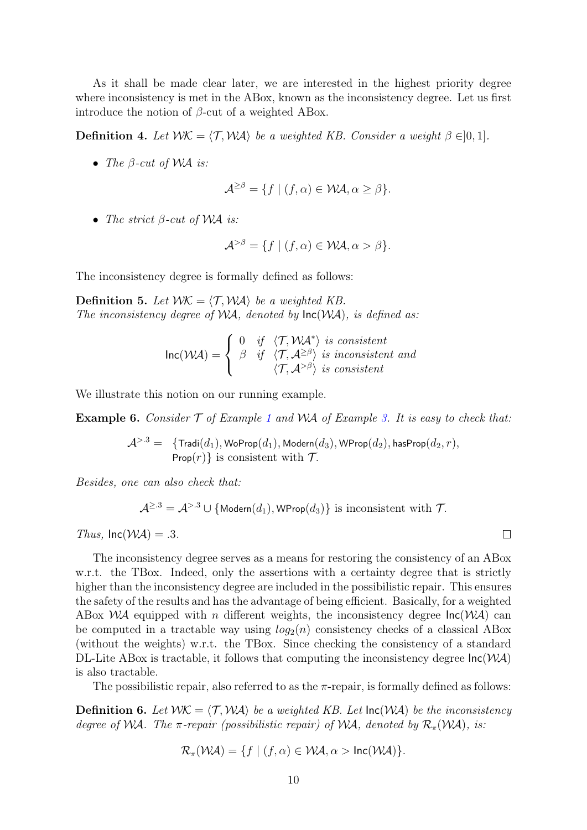As it shall be made clear later, we are interested in the highest priority degree where inconsistency is met in the ABox, known as the inconsistency degree. Let us first introduce the notion of  $\beta$ -cut of a weighted ABox.

**Definition 4.** Let  $WK = \langle T, WA \rangle$  be a weighted KB. Consider a weight  $\beta \in ]0, 1]$ .

• The  $\beta$ -cut of WA is:

$$
\mathcal{A}^{\geq \beta} = \{ f \mid (f, \alpha) \in \mathcal{WA}, \alpha \geq \beta \}.
$$

• The strict  $\beta$ -cut of WA is:

$$
\mathcal{A}^{>\beta} = \{ f \mid (f, \alpha) \in \mathcal{WA}, \alpha > \beta \}.
$$

The inconsistency degree is formally defined as follows:

**Definition 5.** Let  $WK = \langle T, WA \rangle$  be a weighted KB. The inconsistency degree of  $WA$ , denoted by  $\text{Inc}(WA)$ , is defined as:

$$
\text{Inc}(\mathcal{WA}) = \begin{cases} 0 & \text{if } \langle \mathcal{T}, \mathcal{WA}^* \rangle \text{ is consistent} \\ \beta & \text{if } \langle \mathcal{T}, \mathcal{A}^{\geq \beta} \rangle \text{ is inconsistent and} \\ \langle \mathcal{T}, \mathcal{A}^{> \beta} \rangle \text{ is consistent} \end{cases}
$$

We illustrate this notion on our running example.

**Example 6.** Consider  $\mathcal T$  of Example 1 and WA of Example 3. It is easy to check that:

$$
\mathcal{A}^{>.3} = \{ \text{Tradi}(d_1), \text{WoProp}(d_1), \text{Modern}(d_3), \text{WProp}(d_2), \text{hasProp}(d_2, r), \\ \text{Prop}(r) \} \text{ is consistent with } \mathcal{T}.
$$

Besides, one can also check that:

$$
\mathcal{A}^{\geq 3} = \mathcal{A}^{>3} \cup \{ \text{Modern}(d_1), \text{WProp}(d_3) \}
$$
 is inconsistent with  $\mathcal{T}$ .

Thus,  $Inc(\mathcal{WA}) = .3$ .

The inconsistency degree serves as a means for restoring the consistency of an ABox w.r.t. the TBox. Indeed, only the assertions with a certainty degree that is strictly higher than the inconsistency degree are included in the possibilistic repair. This ensures the safety of the results and has the advantage of being efficient. Basically, for a weighted ABox  $\mathcal{W}A$  equipped with n different weights, the inconsistency degree  $\text{Inc}(\mathcal{W}A)$  can be computed in a tractable way using  $log_2(n)$  consistency checks of a classical ABox (without the weights) w.r.t. the TBox. Since checking the consistency of a standard DL-Lite ABox is tractable, it follows that computing the inconsistency degree  $\text{Inc}(\mathcal{WA})$ is also tractable.

The possibilistic repair, also referred to as the  $\pi$ -repair, is formally defined as follows:

**Definition 6.** Let  $WK = \langle T, WA \rangle$  be a weighted KB. Let  $Inc(WA)$  be the inconsistency degree of WA. The  $\pi$ -repair (possibilistic repair) of WA, denoted by  $\mathcal{R}_{\pi}(W\mathcal{A})$ , is:

$$
\mathcal{R}_{\pi}(\mathcal{WA}) = \{ f \mid (f, \alpha) \in \mathcal{WA}, \alpha > \mathsf{Inc}(\mathcal{WA}) \}.
$$

 $\Box$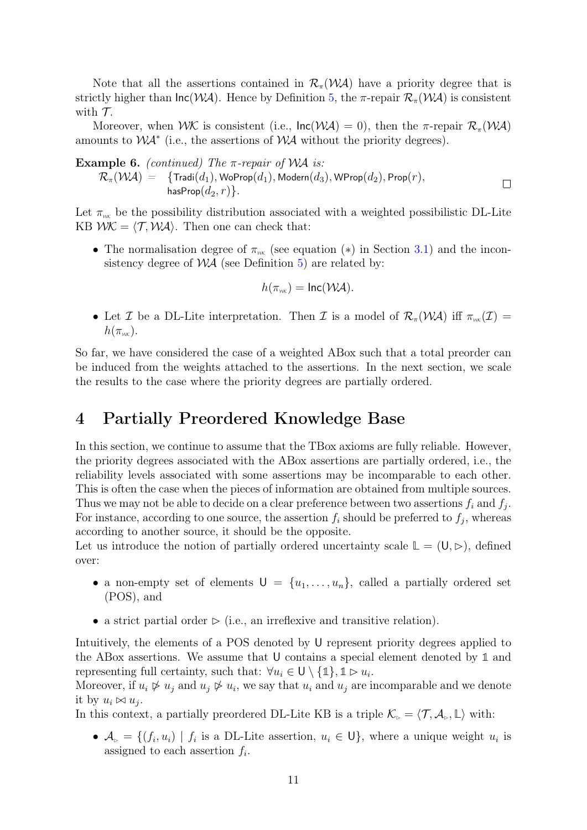Note that all the assertions contained in  $\mathcal{R}_{\pi}(\mathcal{W}A)$  have a priority degree that is strictly higher than  $\text{Inc}(\mathcal{WA})$ . Hence by Definition 5, the  $\pi$ -repair  $\mathcal{R}_{\pi}(\mathcal{WA})$  is consistent with  $\mathcal{T}$ .

Moreover, when  $W\mathcal{K}$  is consistent (i.e.,  $\text{Inc}(W\mathcal{A}) = 0$ ), then the  $\pi$ -repair  $\mathcal{R}_{\pi}(W\mathcal{A})$ amounts to  $\mathcal{WA}^*$  (i.e., the assertions of  $\mathcal{WA}$  without the priority degrees).

**Example 6.** (continued) The  $\pi$ -repair of WA is:  $\mathcal{R}_{\pi}(\mathcal{W}\mathcal{A}) = -\{ \text{Tradi}(d_1), \textsf{WoProp}(d_1), \textsf{Modern}(d_3), \textsf{WProp}(d_2), \textsf{Prop}(r),$  $\Box$ hasProp $(d_2, r)$ .

Let  $\pi_{\scriptscriptstyle{W}}$  be the possibility distribution associated with a weighted possibilistic DL-Lite KB  $WK = \langle T, WA \rangle$ . Then one can check that:

• The normalisation degree of  $\pi_{\scriptscriptstyle{W}K}$  (see equation (\*) in Section 3.1) and the inconsistency degree of  $\mathcal{WA}$  (see Definition 5) are related by:

$$
h(\pi_{w\kappa}) = \text{Inc}(\mathcal{WA}).
$$

• Let I be a DL-Lite interpretation. Then I is a model of  $\mathcal{R}_{\pi}(\mathcal{W}\mathcal{A})$  iff  $\pi_{\scriptscriptstyle{\mathcal{W}\!\mathcal{K}}}(\mathcal{I})=$  $h(\pi_{wK})$ .

So far, we have considered the case of a weighted ABox such that a total preorder can be induced from the weights attached to the assertions. In the next section, we scale the results to the case where the priority degrees are partially ordered.

## 4 Partially Preordered Knowledge Base

In this section, we continue to assume that the TBox axioms are fully reliable. However, the priority degrees associated with the ABox assertions are partially ordered, i.e., the reliability levels associated with some assertions may be incomparable to each other. This is often the case when the pieces of information are obtained from multiple sources. Thus we may not be able to decide on a clear preference between two assertions  $f_i$  and  $f_j$ . For instance, according to one source, the assertion  $f_i$  should be preferred to  $f_j$ , whereas according to another source, it should be the opposite.

Let us introduce the notion of partially ordered uncertainty scale  $\mathbb{L} = (\mathsf{U}, \triangleright)$ , defined over:

- a non-empty set of elements  $U = \{u_1, \ldots, u_n\}$ , called a partially ordered set (POS), and
- a strict partial order  $\triangleright$  (i.e., an irreflexive and transitive relation).

Intuitively, the elements of a POS denoted by U represent priority degrees applied to the ABox assertions. We assume that U contains a special element denoted by **1** and representing full certainty, such that:  $\forall u_i \in \mathsf{U} \setminus \{\mathbb{1}\}, \mathbb{1} \triangleright u_i$ .

Moreover, if  $u_i \not\triangleright u_j$  and  $u_j \not\triangleright u_i$ , we say that  $u_i$  and  $u_j$  are incomparable and we denote it by  $u_i \bowtie u_j$ .

In this context, a partially preordered DL-Lite KB is a triple  $\mathcal{K}_{\triangleright} = \langle \mathcal{T}, \mathcal{A}_{\triangleright}, \mathbb{L} \rangle$  with:

•  $\mathcal{A}_{\triangleright} = \{ (f_i, u_i) \mid f_i \text{ is a DL-Lite assertion, } u_i \in \mathsf{U} \}$ , where a unique weight  $u_i$  is assigned to each assertion  $f_i$ .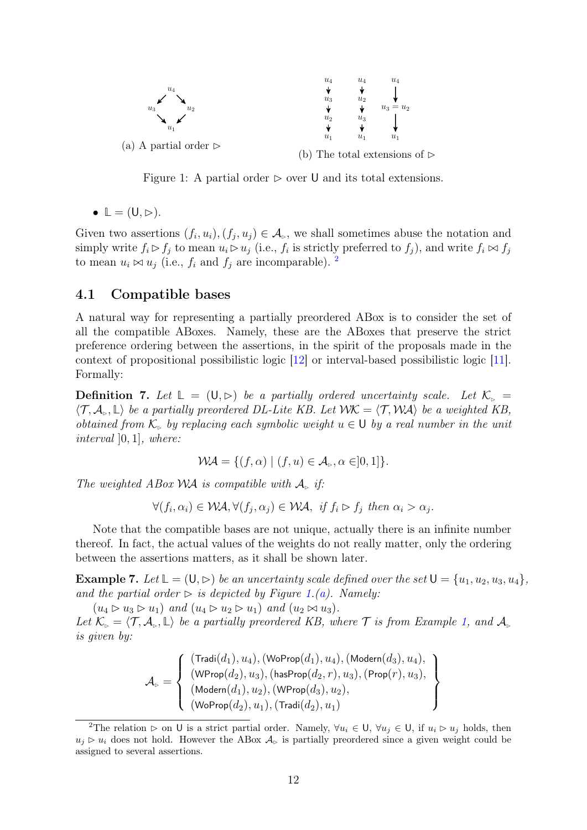

Figure 1: A partial order  $\triangleright$  over U and its total extensions.

 $\bullet \mathbb{L} = (\mathsf{U}, \triangleright).$ 

Given two assertions  $(f_i, u_i), (f_j, u_j) \in \mathcal{A}_{\triangleright}$ , we shall sometimes abuse the notation and simply write  $f_i \triangleright f_j$  to mean  $u_i \triangleright u_j$  (i.e.,  $f_i$  is strictly preferred to  $f_j$ ), and write  $f_i \Join f_j$ to mean  $u_i \bowtie u_j$  (i.e.,  $f_i$  and  $f_j$  are incomparable). <sup>2</sup>

### 4.1 Compatible bases

A natural way for representing a partially preordered ABox is to consider the set of all the compatible ABoxes. Namely, these are the ABoxes that preserve the strict preference ordering between the assertions, in the spirit of the proposals made in the context of propositional possibilistic logic [12] or interval-based possibilistic logic [11]. Formally:

**Definition 7.** Let  $\mathbb{L} = (\mathsf{U}, \triangleright)$  be a partially ordered uncertainty scale. Let  $\mathcal{K}_{\triangleright} =$  $\langle \mathcal{T}, \mathcal{A}_{\triangleright}, \mathbb{L} \rangle$  be a partially preordered DL-Lite KB. Let  $\mathcal{W}\mathcal{K} = \langle \mathcal{T}, \mathcal{W}\mathcal{A} \rangle$  be a weighted KB, obtained from  $\mathcal{K}_{\triangleright}$  by replacing each symbolic weight  $u \in U$  by a real number in the unit interval ]0, 1], where:

$$
\mathcal{WA} = \{ (f, \alpha) \mid (f, u) \in \mathcal{A}_{\triangleright}, \alpha \in ]0, 1] \}.
$$

The weighted ABox WA is compatible with  $\mathcal{A}_{\text{B}}$  if:

$$
\forall (f_i, \alpha_i) \in \mathcal{WA}, \forall (f_j, \alpha_j) \in \mathcal{WA}, \text{ if } f_i \rhd f_j \text{ then } \alpha_i > \alpha_j.
$$

Note that the compatible bases are not unique, actually there is an infinite number thereof. In fact, the actual values of the weights do not really matter, only the ordering between the assertions matters, as it shall be shown later.

**Example 7.** Let  $\mathbb{L} = (\mathsf{U}, \triangleright)$  be an uncertainty scale defined over the set  $\mathsf{U} = \{u_1, u_2, u_3, u_4\}$ , and the partial order  $\triangleright$  is depicted by Figure 1.(a). Namely:

 $(u_4 \triangleright u_3 \triangleright u_1)$  and  $(u_4 \triangleright u_2 \triangleright u_1)$  and  $(u_2 \bowtie u_3)$ .

Let  $\mathcal{K}_{\triangleright} = \langle \mathcal{T}, \mathcal{A}_{\triangleright}, \mathbb{L} \rangle$  be a partially preordered KB, where  $\mathcal{T}$  is from Example 1, and  $\mathcal{A}_{\triangleright}$ is given by:

$$
\mathcal{A}_\triangleright = \left\{\begin{array}{l}(\mathrm{Tradi}(d_1), u_4), (\mathrm{WoProp}(d_1), u_4), (\mathrm{Modern}(d_3), u_4), \\ (\mathrm{WProp}(d_2), u_3), (\mathrm{hasProp}(d_2, r), u_3), (\mathrm{Prop}(r), u_3), \\ (\mathrm{Modern}(d_1), u_2), (\mathrm{WProp}(d_3), u_2), \\ (\mathrm{WoProp}(d_2), u_1), (\mathrm{Tradi}(d_2), u_1)\end{array}\right\}
$$

<sup>&</sup>lt;sup>2</sup>The relation  $\triangleright$  on U is a strict partial order. Namely,  $\forall u_i \in U$ ,  $\forall u_j \in U$ , if  $u_i \triangleright u_j$  holds, then  $u_i \triangleright u_i$  does not hold. However the ABox  $\mathcal{A}_{\triangleright}$  is partially preordered since a given weight could be assigned to several assertions.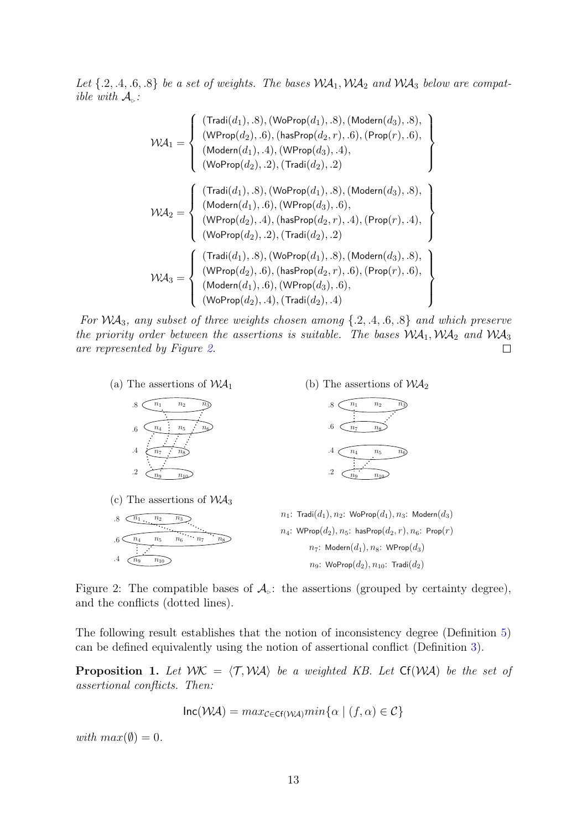Let  $\{.2, .4, .6, .8\}$  be a set of weights. The bases  $\mathcal{WA}_1$ ,  $\mathcal{WA}_2$  and  $\mathcal{WA}_3$  below are compatible with  $A_{\triangleright}$ :

$$
\mathcal{WA}_1 = \left\{\begin{array}{l}(\text{Tradi}(d_1), .8), (\text{WoProp}(d_1), .8), (\text{Modern}(d_3), .8),\\(\text{WProp}(d_2), .6), (\text{hasProp}(d_2, r), .6), (\text{Prop}(r), .6),\\(\text{Modern}(d_1), .4), (\text{WProp}(d_3), .4),\\(\text{WoProp}(d_2), .2), (\text{Tradi}(d_2), .2)\end{array}\right\}
$$

$$
\mathcal{WA}_2 = \left\{\begin{array}{l}(\text{Tradi}(d_1), .8), (\text{WoProp}(d_1), .8), (\text{Modern}(d_3), .8),\\(\text{Modern}(d_1), .6), (\text{WProp}(d_1), .8), (\text{Modern}(d_3), .8),\\(\text{Webern}(d_1), .6), (\text{WProp}(d_2, r), .4), (\text{Prop}(r), .4),\\(\text{Webrop}(d_2), .2), (\text{Tradi}(d_2), .2)\end{array}\right\}
$$

$$
\mathcal{WA}_3 = \left\{\begin{array}{l}(\text{Tradi}(d_1), .8), (\text{WoProp}(d_1), .8), (\text{Modern}(d_3), .8),\\(\text{WProp}(d_2), .6), (\text{hasProp}(d_2, r), .6), (\text{Prop}(r), .6),\\(\text{Modern}(d_1), .6), (\text{WProp}(d_3), .6),\\(\text{WoProp}(d_2), .4), (\text{Tradi}(d_2), .4)\end{array}\right\}
$$

For  $WA_3$ , any subset of three weights chosen among  $\{.2, .4, .6, .8\}$  and which preserve the priority order between the assertions is suitable. The bases  $WA_1, WA_2$  and  $WA_3$ are represented by Figure 2.  $\Box$ 



Figure 2: The compatible bases of  $\mathcal{A}_{\mathbb{R}}$ : the assertions (grouped by certainty degree), and the conflicts (dotted lines).

The following result establishes that the notion of inconsistency degree (Definition 5) can be defined equivalently using the notion of assertional conflict (Definition 3).

**Proposition 1.** Let  $WK = \langle T, WA \rangle$  be a weighted KB. Let  $Cf(WA)$  be the set of assertional conflicts. Then:

$$
Inc(\mathcal{WA}) = max_{\mathcal{C} \in \mathsf{CF}(\mathcal{WA})} min\{\alpha \mid (f, \alpha) \in \mathcal{C}\}
$$

with  $max(\emptyset) = 0$ .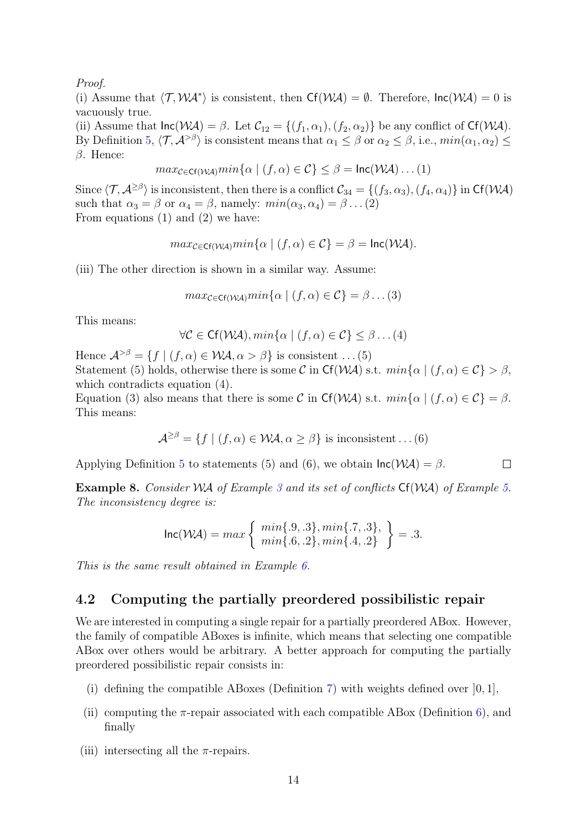Proof.

(i) Assume that  $\langle T, \mathcal{WA}^* \rangle$  is consistent, then  $Cf(\mathcal{WA}) = \emptyset$ . Therefore,  $Inc(\mathcal{WA}) = 0$  is vacuously true.

(ii) Assume that  $\text{Inc}(\mathcal{WA}) = \beta$ . Let  $\mathcal{C}_{12} = \{(f_1, \alpha_1), (f_2, \alpha_2)\}\)$  be any conflict of  $\text{Cf}(\mathcal{WA})$ . By Definition 5,  $\langle \mathcal{T}, \mathcal{A}^{>\beta} \rangle$  is consistent means that  $\alpha_1 \leq \beta$  or  $\alpha_2 \leq \beta$ , i.e.,  $min(\alpha_1, \alpha_2) \leq$ β. Hence:

$$
max_{\mathcal{C} \in \mathsf{CF}(\mathcal{W}\mathcal{A})} min\{\alpha \mid (f, \alpha) \in \mathcal{C}\} \leq \beta = \mathsf{Inc}(\mathcal{W}\mathcal{A})\dots(1)
$$

Since  $\langle \mathcal{T}, \mathcal{A}^{\geq \beta} \rangle$  is inconsistent, then there is a conflict  $\mathcal{C}_{34} = \{(f_3, \alpha_3), (f_4, \alpha_4)\}\$ in Cf(WA) such that  $\alpha_3 = \beta$  or  $\alpha_4 = \beta$ , namely:  $min(\alpha_3, \alpha_4) = \beta \dots (2)$ From equations (1) and (2) we have:

$$
max_{\mathcal{C} \in \mathsf{CF}(\mathcal{W}\mathcal{A})} min\{\alpha \mid (f, \alpha) \in \mathcal{C}\} = \beta = \mathsf{Inc}(\mathcal{W}\mathcal{A}).
$$

(iii) The other direction is shown in a similar way. Assume:

$$
max_{\mathcal{C}\in\mathsf{Cf}(\mathcal{W}\mathcal{A})}min\{\alpha \mid (f,\alpha)\in\mathcal{C}\}=\beta\dots(3)
$$

This means:

$$
\forall \mathcal{C} \in \mathsf{C}\mathsf{f}(\mathcal{W}\mathcal{A}), min\{\alpha \mid (f, \alpha) \in \mathcal{C}\} \leq \beta \dots (4)
$$

Hence  $\mathcal{A}^{>\beta} = \{f \mid (f, \alpha) \in \mathcal{WA}, \alpha > \beta\}$  is consistent ... (5) Statement (5) holds, otherwise there is some C in Cf(WA) s.t.  $min\{\alpha \mid (f, \alpha) \in C\} > \beta$ , which contradicts equation  $(4)$ .

Equation (3) also means that there is some C in Cf(WA) s.t.  $min\{\alpha \mid (f, \alpha) \in C\} = \beta$ . This means:

$$
\mathcal{A}^{\geq\beta} = \{ f \mid (f, \alpha) \in \mathcal{WA}, \alpha \geq \beta \}
$$
 is inconsistent ... (6)

Applying Definition 5 to statements (5) and (6), we obtain  $\text{Inc}(\mathcal{WA}) = \beta$ .  $\Box$ 

**Example 8.** Consider WA of Example 3 and its set of conflicts  $Cf(WA)$  of Example 5. The inconsistency degree is:

$$
\text{Inc}(\mathcal{WA}) = \max \left\{ \begin{array}{c} \min\{.9, .3\}, \min\{.7, .3\}, \\ \min\{.6, .2\}, \min\{.4, .2\} \end{array} \right\} = .3.
$$

This is the same result obtained in Example 6.

### 4.2 Computing the partially preordered possibilistic repair

We are interested in computing a single repair for a partially preordered ABox. However, the family of compatible ABoxes is infinite, which means that selecting one compatible ABox over others would be arbitrary. A better approach for computing the partially preordered possibilistic repair consists in:

- (i) defining the compatible ABoxes (Definition 7) with weights defined over  $[0, 1]$ ,
- (ii) computing the  $\pi$ -repair associated with each compatible ABox (Definition 6), and finally
- (iii) intersecting all the  $\pi$ -repairs.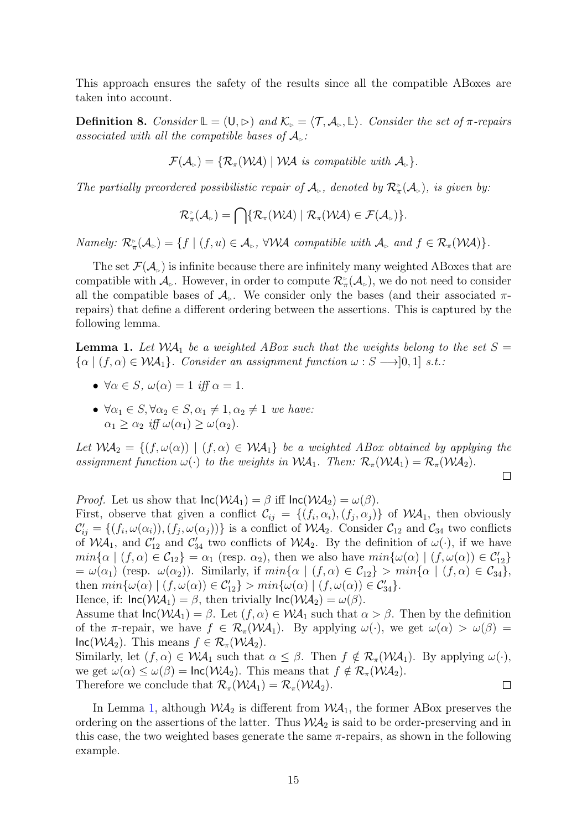This approach ensures the safety of the results since all the compatible ABoxes are taken into account.

**Definition 8.** Consider  $\mathbb{L} = (\mathsf{U}, \triangleright)$  and  $\mathcal{K}_{\triangleright} = \langle \mathcal{T}, \mathcal{A}_{\triangleright}, \mathbb{L} \rangle$ . Consider the set of  $\pi$ -repairs associated with all the compatible bases of  $\mathcal{A}_\triangleright$ :

$$
\mathcal{F}(\mathcal{A}_{\triangleright}) = \{ \mathcal{R}_{\pi}(\mathcal{W}\mathcal{A}) \mid \mathcal{W}\mathcal{A} \text{ is compatible with } \mathcal{A}_{\triangleright} \}.
$$

The partially preordered possibilistic repair of  $\mathcal{A}_{\triangleright}$ , denoted by  $\mathcal{R}_{\pi}^{\triangleright}(\mathcal{A}_{\triangleright})$ , is given by:

$$
\mathcal{R}_{\pi}^{\triangleright}(\mathcal{A}_{\triangleright})=\bigcap\{\mathcal{R}_{\pi}(\mathcal{W}\mathcal{A})\mid \mathcal{R}_{\pi}(\mathcal{W}\mathcal{A})\in\mathcal{F}(\mathcal{A}_{\triangleright})\}.
$$

Namely:  $\mathcal{R}_{\pi}^{\triangleright}(\mathcal{A}_{\triangleright}) = \{f \mid (f, u) \in \mathcal{A}_{\triangleright}$ ,  $\forall \mathcal{WA}$  compatible with  $\mathcal{A}_{\triangleright}$  and  $f \in \mathcal{R}_{\pi}(\mathcal{WA})\}$ .

The set  $\mathcal{F}(\mathcal{A}_{\infty})$  is infinite because there are infinitely many weighted ABoxes that are compatible with  $\mathcal{A}_{\triangleright}$ . However, in order to compute  $\mathcal{R}_{\pi}^{\triangleright}(\mathcal{A}_{\triangleright})$ , we do not need to consider all the compatible bases of  $\mathcal{A}_{\triangleright}$ . We consider only the bases (and their associated  $\pi$ repairs) that define a different ordering between the assertions. This is captured by the following lemma.

**Lemma 1.** Let  $WA_1$  be a weighted ABox such that the weights belong to the set  $S =$  $\{\alpha \mid (f, \alpha) \in \mathcal{WA}_1\}.$  Consider an assignment function  $\omega : S \longrightarrow ]0,1]$  s.t.:

- $\forall \alpha \in S$ ,  $\omega(\alpha) = 1$  iff  $\alpha = 1$ .
- $\forall \alpha_1 \in S, \forall \alpha_2 \in S, \alpha_1 \neq 1, \alpha_2 \neq 1$  we have:  $\alpha_1 \geq \alpha_2$  iff  $\omega(\alpha_1) \geq \omega(\alpha_2)$ .

Let  $WA_2 = \{(f, \omega(\alpha)) \mid (f, \alpha) \in \mathcal{WA}_1\}$  be a weighted ABox obtained by applying the assignment function  $\omega(\cdot)$  to the weights in  $\mathcal{WA}_1$ . Then:  $\mathcal{R}_{\pi}(\mathcal{WA}_1) = \mathcal{R}_{\pi}(\mathcal{WA}_2)$ .

$$
\qquad \qquad \Box
$$

*Proof.* Let us show that  $\text{Inc}(\mathcal{WA}_1) = \beta$  iff  $\text{Inc}(\mathcal{WA}_2) = \omega(\beta)$ .

First, observe that given a conflict  $\mathcal{C}_{ij} = \{(f_i, \alpha_i), (f_j, \alpha_j)\}\$  of  $\mathcal{WA}_1$ , then obviously  $\mathcal{C}'_{ij} = \{(f_i, \omega(\alpha_i)), (f_j, \omega(\alpha_j))\}$  is a conflict of  $\mathcal{WA}_2$ . Consider  $\mathcal{C}_{12}$  and  $\mathcal{C}_{34}$  two conflicts of  $\mathcal{WA}_1$ , and  $\mathcal{C}_{12}'$  and  $\mathcal{C}_{34}'$  two conflicts of  $\mathcal{WA}_2$ . By the definition of  $\omega(\cdot)$ , if we have  $min\{\alpha \mid (f,\alpha) \in C_{12}\} = \alpha_1$  (resp.  $\alpha_2$ ), then we also have  $min\{\omega(\alpha) \mid (f,\omega(\alpha)) \in C_{12}'\}$  $=\omega(\alpha_1)$  (resp.  $\omega(\alpha_2)$ ). Similarly, if  $min{\lbrace \alpha \mid (f, \alpha) \in C_{12} \rbrace} > min{\lbrace \alpha \mid (f, \alpha) \in C_{34} \rbrace}$ , then  $min{\{\omega(\alpha) | (f, \omega(\alpha)) \in C'_{12}\}} > min{\{\omega(\alpha) | (f, \omega(\alpha)) \in C'_{34}\}}.$ Hence, if:  $\text{Inc}(\mathcal{WA}_1) = \beta$ , then trivially  $\text{Inc}(\mathcal{WA}_2) = \omega(\beta)$ .

Assume that  $\text{Inc}(\mathcal{WA}_1) = \beta$ . Let  $(f, \alpha) \in \mathcal{WA}_1$  such that  $\alpha > \beta$ . Then by the definition of the π-repair, we have  $f \in \mathcal{R}_{\pi}(\mathcal{WA}_1)$ . By applying  $\omega(\cdot)$ , we get  $\omega(\alpha) > \omega(\beta) =$  $Inc(W\mathcal{A}_2)$ . This means  $f \in \mathcal{R}_{\pi}(W\mathcal{A}_2)$ .

Similarly, let  $(f, \alpha) \in \mathcal{WA}_1$  such that  $\alpha \leq \beta$ . Then  $f \notin \mathcal{R}_{\pi}(\mathcal{WA}_1)$ . By applying  $\omega(\cdot)$ , we get  $\omega(\alpha) \leq \omega(\beta) = \ln c(\mathcal{WA}_2)$ . This means that  $f \notin \mathcal{R}_{\pi}(\mathcal{WA}_2)$ .  $\Box$ Therefore we conclude that  $\mathcal{R}_{\pi}(\mathcal{W}A_1) = \mathcal{R}_{\pi}(\mathcal{W}A_2)$ .

In Lemma 1, although  $\mathcal{WA}_2$  is different from  $\mathcal{WA}_1$ , the former ABox preserves the ordering on the assertions of the latter. Thus  $W\mathcal{A}_2$  is said to be order-preserving and in this case, the two weighted bases generate the same  $\pi$ -repairs, as shown in the following example.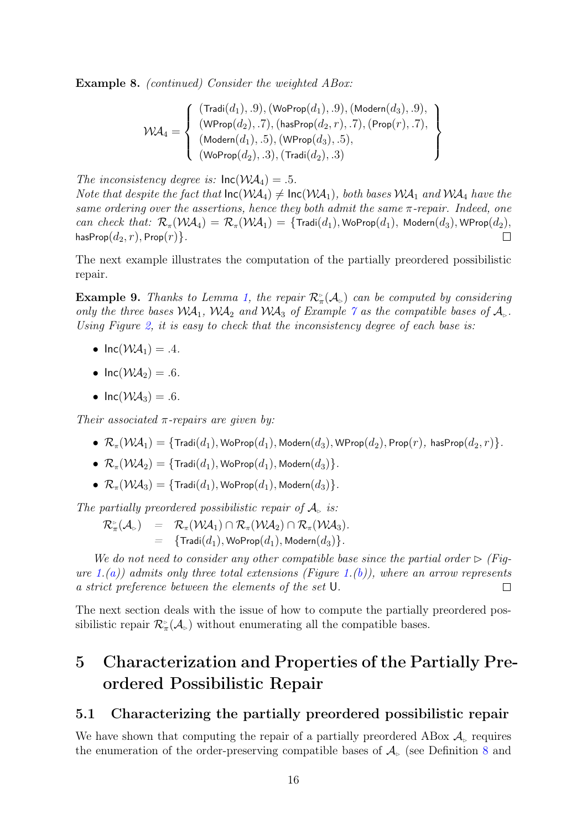Example 8. *(continued)* Consider the weighted ABox:

 $\mathcal{W}\!\mathcal{A}_4 =$  $\sqrt{ }$  $\int$  $\overline{\mathcal{L}}$  $(\textsf{Tradi}(d_1), .9),(\textsf{WoProp}(d_1), .9),(\textsf{Modern}(d_3), .9),$  $(\mathsf{WProp}(d_2), .7),(\mathsf{hasProp}(d_2, r), .7),(\mathsf{Prop}(r), .7),$  $(\mathsf{Modern}(d_1), .5), (\mathsf{WProp}(d_3), .5),$  $(WoProp(d_2), .3), (Tradi(d_2), .3)$  $\mathcal{L}$  $\overline{\mathcal{L}}$  $\int$ 

The inconsistency degree is:  $\text{Inc}(W\mathcal{A}_4) = .5$ .

Note that despite the fact that  $\text{Inc}(W\mathcal{A}_4) \neq \text{Inc}(W\mathcal{A}_1)$ , both bases  $W\mathcal{A}_1$  and  $W\mathcal{A}_4$  have the same ordering over the assertions, hence they both admit the same  $\pi$ -repair. Indeed, one can check that:  $\mathcal{R}_{\pi}(\mathcal{W}A_4) = \mathcal{R}_{\pi}(\mathcal{W}A_1) = \{ \text{Tradi}(d_1), \text{WoProp}(d_1), \text{Modern}(d_3), \text{WProp}(d_2), \}$ hasProp $(d_2, r)$ , Prop $(r)$ .  $\Box$ 

The next example illustrates the computation of the partially preordered possibilistic repair.

**Example 9.** Thanks to Lemma 1, the repair  $\mathcal{R}^*_{\pi}(\mathcal{A}_{\triangleright})$  can be computed by considering only the three bases  $WA_1$ ,  $WA_2$  and  $WA_3$  of Example 7 as the compatible bases of  $\mathcal{A}_{\triangleright}$ . Using Figure 2, it is easy to check that the inconsistency degree of each base is:

- $Inc(WA_1) = .4$ .
- $\text{Inc}(\mathcal{W}\mathcal{A}_2) = .6$ .
- $Inc(W\mathcal{A}_3) = .6$ .

Their associated  $\pi$ -repairs are given by:

- $\mathcal{R}_{\pi}(\mathcal{W}A_1) = \{\text{Tradi}(d_1), \text{WoProp}(d_1), \text{Modern}(d_3), \text{WProp}(d_2), \text{Prop}(r), \text{ hasProp}(d_2, r)\}.$
- $\mathcal{R}_{\pi}(\mathcal{W}\mathcal{A}_2) = {\text{Tradi}(d_1), \text{WoProp}(d_1), \text{Modern}(d_3)}.$
- $\mathcal{R}_n(\mathcal{W}\mathcal{A}_3) = \{ \text{Tradi}(d_1), \text{WoProp}(d_1), \text{Modern}(d_3) \}.$

The partially preordered possibilistic repair of  $\mathcal{A}_{\infty}$  is:

$$
\begin{array}{ccl}\mathcal{R}_{\pi}^{\triangleright}(\mathcal{A}_{\triangleright}) & = & \mathcal{R}_{\pi}(\mathcal{W}\!\mathcal{A}_1) \cap \mathcal{R}_{\pi}(\mathcal{W}\!\mathcal{A}_2) \cap \mathcal{R}_{\pi}(\mathcal{W}\!\mathcal{A}_3).\\ & = & \{\text{Tradi}(d_1), \text{WoProp}(d_1), \text{Modern}(d_3)\}.\end{array}
$$

We do not need to consider any other compatible base since the partial order  $\triangleright$  (Figure 1.(a)) admits only three total extensions (Figure 1.(b)), where an arrow represents a strict preference between the elements of the set U.  $\Box$ 

The next section deals with the issue of how to compute the partially preordered possibilistic repair  $\mathcal{R}_{\pi}^{\triangleright}(\mathcal{A}_{\triangleright})$  without enumerating all the compatible bases.

# 5 Characterization and Properties of the Partially Preordered Possibilistic Repair

### 5.1 Characterizing the partially preordered possibilistic repair

We have shown that computing the repair of a partially preordered ABox  $\mathcal{A}_{\triangleright}$  requires the enumeration of the order-preserving compatible bases of  $\mathcal{A}_{\triangleright}$  (see Definition 8 and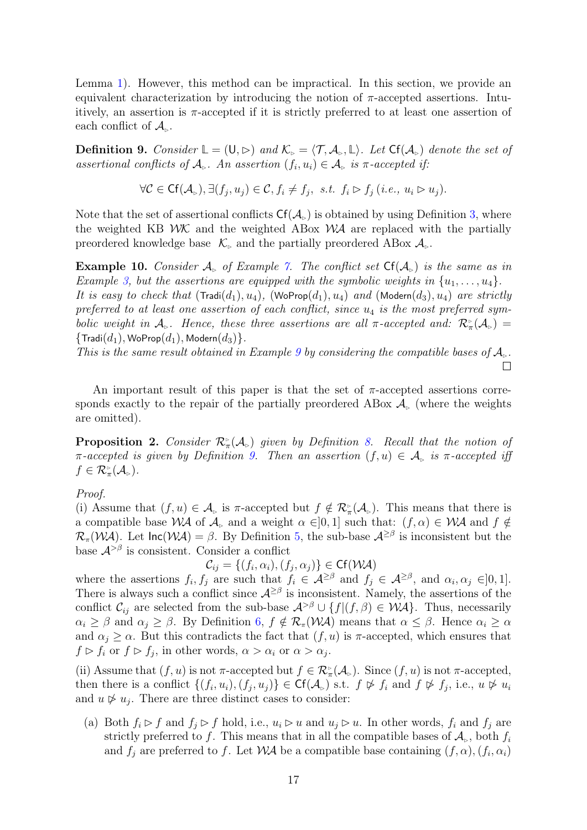Lemma 1). However, this method can be impractical. In this section, we provide an equivalent characterization by introducing the notion of  $\pi$ -accepted assertions. Intuitively, an assertion is  $\pi$ -accepted if it is strictly preferred to at least one assertion of each conflict of  $\mathcal{A}_{\triangleright}$ .

**Definition 9.** Consider  $\mathbb{L} = (\mathsf{U}, \triangleright)$  and  $\mathcal{K}_{\triangleright} = \langle \mathcal{T}, \mathcal{A}_{\triangleright}, \mathbb{L} \rangle$ . Let  $\mathsf{Cf}(\mathcal{A}_{\triangleright})$  denote the set of assertional conflicts of  $\mathcal{A}_{\triangleright}$ . An assertion  $(f_i, u_i) \in \mathcal{A}_{\triangleright}$  is  $\pi$ -accepted if:

$$
\forall \mathcal{C} \in \mathsf{C}\mathsf{f}(\mathcal{A}_{\triangleright}), \exists (f_j, u_j) \in \mathcal{C}, f_i \neq f_j, \ \text{ s.t. } f_i \triangleright f_j \ (\text{i.e., } u_i \triangleright u_j).
$$

Note that the set of assertional conflicts  $Cf(\mathcal{A}_{\triangleright})$  is obtained by using Definition 3, where the weighted KB  $W\mathcal{K}$  and the weighted ABox  $W\mathcal{A}$  are replaced with the partially preordered knowledge base  $\mathcal{K}_{\triangleright}$  and the partially preordered ABox  $\mathcal{A}_{\triangleright}$ .

**Example 10.** Consider  $A_{\text{B}}$  of Example 7. The conflict set  $\text{Cf}(A_{\text{B}})$  is the same as in Example 3, but the assertions are equipped with the symbolic weights in  $\{u_1, \ldots, u_4\}$ . It is easy to check that  $(\text{Tradi}(d_1), u_4)$ ,  $(\text{WoProp}(d_1), u_4)$  and  $(\text{Modern}(d_3), u_4)$  are strictly preferred to at least one assertion of each conflict, since  $u_4$  is the most preferred symbolic weight in  $\mathcal{A}_{\triangleright}$ . Hence, these three assertions are all  $\pi$ -accepted and:  $\mathcal{R}_{\pi}^{\triangleright}(\mathcal{A}_{\triangleright})=$  $\{{\sf Tradi}(d_1), {\sf WoProp}(d_1), {\sf Modern}(d_3)\}.$ 

This is the same result obtained in Example 9 by considering the compatible bases of  $\mathcal{A}_{\mathbb{R}}$ .  $\Box$ 

An important result of this paper is that the set of  $\pi$ -accepted assertions corresponds exactly to the repair of the partially preordered ABox  $\mathcal{A}_{\triangleright}$  (where the weights are omitted).

**Proposition 2.** Consider  $\mathcal{R}_{\pi}^{\triangleright}(\mathcal{A}_{\triangleright})$  given by Definition 8. Recall that the notion of  $\pi$ -accepted is given by Definition 9. Then an assertion  $(f, u) \in \mathcal{A}_{\triangleright}$  is  $\pi$ -accepted iff  $f \in \mathcal{R}_{\pi}^{\triangleright}(\mathcal{A}_{\triangleright}).$ 

#### Proof.

(i) Assume that  $(f, u) \in \mathcal{A}_{\triangleright}$  is  $\pi$ -accepted but  $f \notin \mathcal{R}_{\pi}^{\triangleright}(\mathcal{A}_{\triangleright})$ . This means that there is a compatible base WA of  $\mathcal{A}_\triangleright$  and a weight  $\alpha \in ]0,1]$  such that:  $(f, \alpha) \in \mathcal{WA}$  and  $f \notin$  $\mathcal{R}_{\pi}(\mathcal{W} \mathcal{A})$ . Let  $\mathsf{Inc}(\mathcal{W} \mathcal{A}) = \beta$ . By Definition 5, the sub-base  $\mathcal{A}^{\geq \beta}$  is inconsistent but the base  $A^{>\beta}$  is consistent. Consider a conflict

 $\mathcal{C}_{ij} = \{(f_i, \alpha_i), (f_j, \alpha_j)\} \in \mathsf{Cf}(\mathcal{W}\mathcal{A})$ 

where the assertions  $f_i, f_j$  are such that  $f_i \in \mathcal{A}^{\geq \beta}$  and  $f_j \in \mathcal{A}^{\geq \beta}$ , and  $\alpha_i, \alpha_j \in ]0,1]$ . There is always such a conflict since  $\mathcal{A}^{\geq \beta}$  is inconsistent. Namely, the assertions of the conflict  $\mathcal{C}_{ij}$  are selected from the sub-base  $\mathcal{A}^{>\beta} \cup \{f|(f,\beta) \in \mathcal{WA}\}\)$ . Thus, necessarily  $\alpha_i \geq \beta$  and  $\alpha_j \geq \beta$ . By Definition 6,  $f \notin \mathcal{R}_{\pi}(W\mathcal{A})$  means that  $\alpha \leq \beta$ . Hence  $\alpha_i \geq \alpha$ and  $\alpha_j \geq \alpha$ . But this contradicts the fact that  $(f, u)$  is  $\pi$ -accepted, which ensures that  $f \triangleright f_i$  or  $f \triangleright f_j$ , in other words,  $\alpha > \alpha_i$  or  $\alpha > \alpha_j$ .

(ii) Assume that  $(f, u)$  is not  $\pi$ -accepted but  $f \in \mathcal{R}^{\triangleright}_{\pi}(\mathcal{A}_{\triangleright})$ . Since  $(f, u)$  is not  $\pi$ -accepted, then there is a conflict  $\{(f_i, u_i), (f_j, u_j)\}\in \mathsf{Cf}(\mathcal{A}_{\triangleright})$  s.t.  $f \not\triangleright f_i$  and  $f \not\triangleright f_j$ , i.e.,  $u \not\triangleright u_i$ and  $u \not\triangleright u_j$ . There are three distinct cases to consider:

(a) Both  $f_i \triangleright f$  and  $f_j \triangleright f$  hold, i.e.,  $u_i \triangleright u$  and  $u_j \triangleright u$ . In other words,  $f_i$  and  $f_j$  are strictly preferred to f. This means that in all the compatible bases of  $\mathcal{A}_{\triangleright}$ , both  $f_i$ and  $f_j$  are preferred to f. Let  $\mathcal{WA}$  be a compatible base containing  $(f, \alpha)$ ,  $(f_i, \alpha_i)$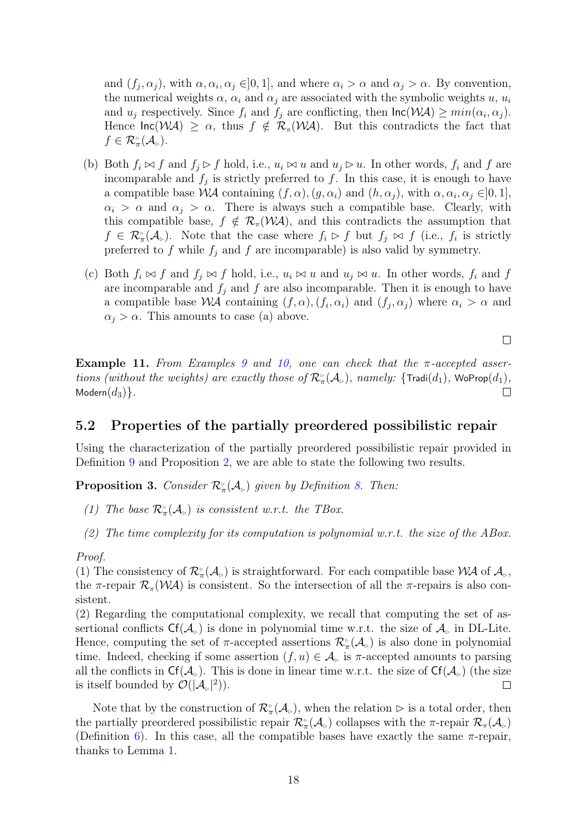and  $(f_j, \alpha_j)$ , with  $\alpha, \alpha_i, \alpha_j \in ]0,1]$ , and where  $\alpha_i > \alpha$  and  $\alpha_j > \alpha$ . By convention, the numerical weights  $\alpha$ ,  $\alpha_i$  and  $\alpha_j$  are associated with the symbolic weights u,  $u_i$ and  $u_j$  respectively. Since  $f_i$  and  $f_j$  are conflicting, then  $\text{Inc}(\mathcal{WA}) \geq min(\alpha_i, \alpha_j)$ . Hence  $\text{Inc}(\mathcal{WA}) \geq \alpha$ , thus  $f \notin \mathcal{R}_{\pi}(\mathcal{WA})$ . But this contradicts the fact that  $f \in \mathcal{R}_{\pi}^{\triangleright}(\mathcal{A}_{\triangleright}).$ 

- (b) Both  $f_i \bowtie f$  and  $f_j \rhd f$  hold, i.e.,  $u_i \bowtie u$  and  $u_j \rhd u$ . In other words,  $f_i$  and f are incomparable and  $f_j$  is strictly preferred to f. In this case, it is enough to have a compatible base WA containing  $(f, \alpha)$ ,  $(g, \alpha_i)$  and  $(h, \alpha_j)$ , with  $\alpha, \alpha_i, \alpha_j \in ]0, 1]$ ,  $\alpha_i > \alpha$  and  $\alpha_j > \alpha$ . There is always such a compatible base. Clearly, with this compatible base,  $f \notin \mathcal{R}_{\pi}(\mathcal{W}\mathcal{A})$ , and this contradicts the assumption that  $f \in \mathcal{R}_{\pi}^{\triangleright}(\mathcal{A}_{\triangleright})$ . Note that the case where  $f_i \triangleright f$  but  $f_j \bowtie f$  (i.e.,  $f_i$  is strictly preferred to f while  $f_j$  and f are incomparable) is also valid by symmetry.
- (c) Both  $f_i \bowtie f$  and  $f_j \bowtie f$  hold, i.e.,  $u_i \bowtie u$  and  $u_j \bowtie u$ . In other words,  $f_i$  and f are incomparable and  $f_i$  and f are also incomparable. Then it is enough to have a compatible base WA containing  $(f, \alpha)$ ,  $(f_i, \alpha_i)$  and  $(f_j, \alpha_j)$  where  $\alpha_i > \alpha$  and  $\alpha_j > \alpha$ . This amounts to case (a) above.

 $\Box$ 

Example 11. From Examples 9 and 10, one can check that the  $\pi$ -accepted assertions (without the weights) are exactly those of  $\mathcal{R}_{\pi}^{\triangleright}(\mathcal{A}_{\triangleright})$ , namely: { $\textsf{Tradi}(d_1)$ , WoProp $(d_1)$ , Modern $(d_3)$ .  $\Box$ 

### 5.2 Properties of the partially preordered possibilistic repair

Using the characterization of the partially preordered possibilistic repair provided in Definition 9 and Proposition 2, we are able to state the following two results.

**Proposition 3.** Consider  $\mathcal{R}_\pi^{\triangleright}(\mathcal{A}_\nightharpoonup)$  given by Definition 8. Then:

- (1) The base  $\mathcal{R}_{\pi}^{\triangleright}(\mathcal{A}_{\triangleright})$  is consistent w.r.t. the TBox.
- (2) The time complexity for its computation is polynomial w.r.t. the size of the ABox.

#### Proof.

(1) The consistency of  $\mathcal{R}_{\pi}^{\circ}(\mathcal{A}_{\rho})$  is straightforward. For each compatible base  $\mathcal{WA}$  of  $\mathcal{A}_{\rho}$ , the  $\pi$ -repair  $\mathcal{R}_{\pi}(\mathcal{W}\mathcal{A})$  is consistent. So the intersection of all the  $\pi$ -repairs is also consistent.

(2) Regarding the computational complexity, we recall that computing the set of assertional conflicts  $Cf(\mathcal{A}_{\triangleright})$  is done in polynomial time w.r.t. the size of  $\mathcal{A}_{\triangleright}$  in DL-Lite. Hence, computing the set of  $\pi$ -accepted assertions  $\mathcal{R}^{\scriptscriptstyle\triangleright}_{\pi}(\mathcal{A}_{\scriptscriptstyle\triangleright})$  is also done in polynomial time. Indeed, checking if some assertion  $(f, u) \in \mathcal{A}_{\succeq}$  is  $\pi$ -accepted amounts to parsing all the conflicts in  $Cf(\mathcal{A}_\triangleright)$ . This is done in linear time w.r.t. the size of  $Cf(\mathcal{A}_\triangleright)$  (the size is itself bounded by  $\mathcal{O}(|A_{\triangleright}|^2)$ .  $\Box$ 

Note that by the construction of  $\mathcal{R}_{\pi}^{\circ}(\mathcal{A}_{\rho})$ , when the relation  $\rhd$  is a total order, then the partially preordered possibilistic repair  $\mathcal{R}_{\pi}^{\triangleright}(\mathcal{A}_{\triangleright})$  collapses with the  $\pi$ -repair  $\mathcal{R}_{\pi}(\mathcal{A}_{\triangleright})$ (Definition 6). In this case, all the compatible bases have exactly the same  $\pi$ -repair, thanks to Lemma 1.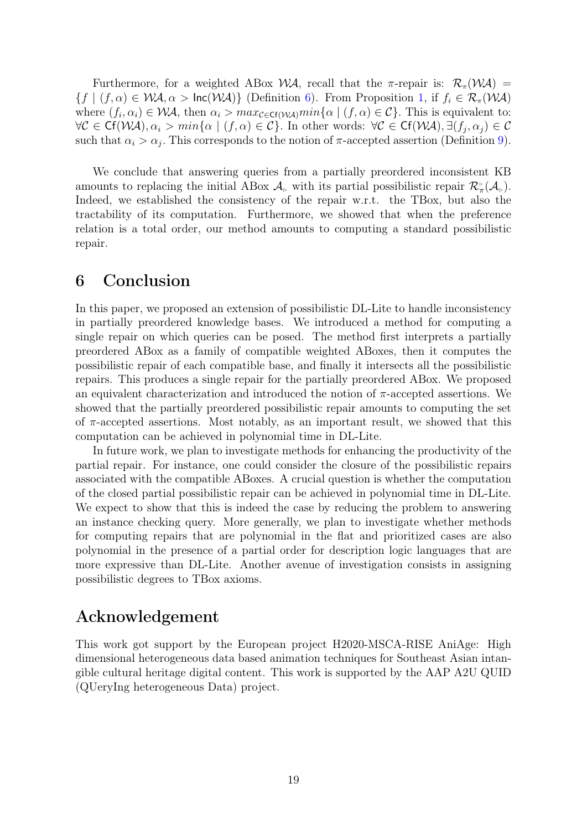Furthermore, for a weighted ABox WA, recall that the  $\pi$ -repair is:  $\mathcal{R}_{\pi}(\mathcal{W}A)$  =  ${f | (f, \alpha) \in \mathcal{WA}, \alpha > \text{Inc}(\mathcal{WA})\}$  (Definition 6). From Proposition 1, if  $f_i \in \mathcal{R}_{\pi}(\mathcal{WA})$ where  $(f_i, \alpha_i) \in \mathcal{WA}$ , then  $\alpha_i > max_{\mathcal{C} \in \mathsf{CF}(\mathcal{WA})} min{\alpha | (f, \alpha) \in \mathcal{C}}$ . This is equivalent to:  $\forall \mathcal{C} \in \mathsf{C}\mathsf{f}(\mathcal{W}\mathcal{A}), \alpha_i > min\{\alpha \mid (f, \alpha) \in \mathcal{C}\}.$  In other words:  $\forall \mathcal{C} \in \mathsf{C}\mathsf{f}(\mathcal{W}\mathcal{A}), \exists (f_j, \alpha_j) \in \mathcal{C}$ such that  $\alpha_i > \alpha_j$ . This corresponds to the notion of  $\pi$ -accepted assertion (Definition 9).

We conclude that answering queries from a partially preordered inconsistent KB amounts to replacing the initial ABox  $\mathcal{A}_{\triangleright}$  with its partial possibilistic repair  $\mathcal{R}^{\triangleright}_{\pi}(\mathcal{A}_{\triangleright}).$ Indeed, we established the consistency of the repair w.r.t. the TBox, but also the tractability of its computation. Furthermore, we showed that when the preference relation is a total order, our method amounts to computing a standard possibilistic repair.

### 6 Conclusion

In this paper, we proposed an extension of possibilistic DL-Lite to handle inconsistency in partially preordered knowledge bases. We introduced a method for computing a single repair on which queries can be posed. The method first interprets a partially preordered ABox as a family of compatible weighted ABoxes, then it computes the possibilistic repair of each compatible base, and finally it intersects all the possibilistic repairs. This produces a single repair for the partially preordered ABox. We proposed an equivalent characterization and introduced the notion of  $\pi$ -accepted assertions. We showed that the partially preordered possibilistic repair amounts to computing the set of  $\pi$ -accepted assertions. Most notably, as an important result, we showed that this computation can be achieved in polynomial time in DL-Lite.

In future work, we plan to investigate methods for enhancing the productivity of the partial repair. For instance, one could consider the closure of the possibilistic repairs associated with the compatible ABoxes. A crucial question is whether the computation of the closed partial possibilistic repair can be achieved in polynomial time in DL-Lite. We expect to show that this is indeed the case by reducing the problem to answering an instance checking query. More generally, we plan to investigate whether methods for computing repairs that are polynomial in the flat and prioritized cases are also polynomial in the presence of a partial order for description logic languages that are more expressive than DL-Lite. Another avenue of investigation consists in assigning possibilistic degrees to TBox axioms.

## Acknowledgement

This work got support by the European project H2020-MSCA-RISE AniAge: High dimensional heterogeneous data based animation techniques for Southeast Asian intangible cultural heritage digital content. This work is supported by the AAP A2U QUID (QUeryIng heterogeneous Data) project.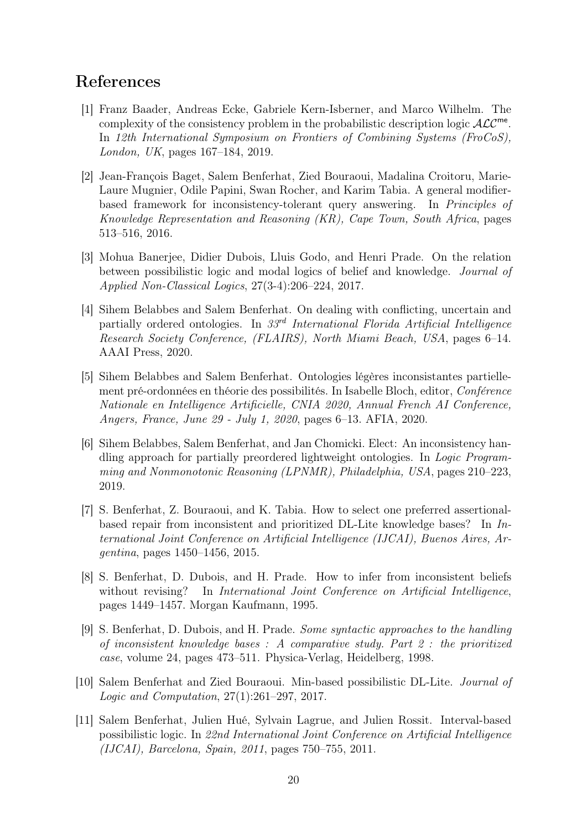## References

- [1] Franz Baader, Andreas Ecke, Gabriele Kern-Isberner, and Marco Wilhelm. The complexity of the consistency problem in the probabilistic description logic  $\mathcal{ALC}^{\mathsf{me}}$ . In 12th International Symposium on Frontiers of Combining Systems (FroCoS), London, UK, pages 167–184, 2019.
- [2] Jean-François Baget, Salem Benferhat, Zied Bouraoui, Madalina Croitoru, Marie-Laure Mugnier, Odile Papini, Swan Rocher, and Karim Tabia. A general modifierbased framework for inconsistency-tolerant query answering. In Principles of Knowledge Representation and Reasoning (KR), Cape Town, South Africa, pages 513–516, 2016.
- [3] Mohua Banerjee, Didier Dubois, Lluis Godo, and Henri Prade. On the relation between possibilistic logic and modal logics of belief and knowledge. Journal of Applied Non-Classical Logics, 27(3-4):206–224, 2017.
- [4] Sihem Belabbes and Salem Benferhat. On dealing with conflicting, uncertain and partially ordered ontologies. In  $33<sup>rd</sup> International Florida Artificial Intelligence$ Research Society Conference, (FLAIRS), North Miami Beach, USA, pages 6–14. AAAI Press, 2020.
- [5] Sihem Belabbes and Salem Benferhat. Ontologies légères inconsistantes partiellement pré-ordonnées en théorie des possibilités. In Isabelle Bloch, editor, Conférence Nationale en Intelligence Artificielle, CNIA 2020, Annual French AI Conference, Angers, France, June 29 - July 1, 2020, pages 6–13. AFIA, 2020.
- [6] Sihem Belabbes, Salem Benferhat, and Jan Chomicki. Elect: An inconsistency handling approach for partially preordered lightweight ontologies. In Logic Programming and Nonmonotonic Reasoning (LPNMR), Philadelphia, USA, pages 210–223, 2019.
- [7] S. Benferhat, Z. Bouraoui, and K. Tabia. How to select one preferred assertionalbased repair from inconsistent and prioritized DL-Lite knowledge bases? In International Joint Conference on Artificial Intelligence (IJCAI), Buenos Aires, Argentina, pages 1450–1456, 2015.
- [8] S. Benferhat, D. Dubois, and H. Prade. How to infer from inconsistent beliefs without revising? In *International Joint Conference on Artificial Intelligence*, pages 1449–1457. Morgan Kaufmann, 1995.
- [9] S. Benferhat, D. Dubois, and H. Prade. Some syntactic approaches to the handling of inconsistent knowledge bases : A comparative study. Part 2 : the prioritized case, volume 24, pages 473–511. Physica-Verlag, Heidelberg, 1998.
- [10] Salem Benferhat and Zied Bouraoui. Min-based possibilistic DL-Lite. Journal of Logic and Computation, 27(1):261–297, 2017.
- [11] Salem Benferhat, Julien Hué, Sylvain Lagrue, and Julien Rossit. Interval-based possibilistic logic. In 22nd International Joint Conference on Artificial Intelligence (IJCAI), Barcelona, Spain, 2011, pages 750–755, 2011.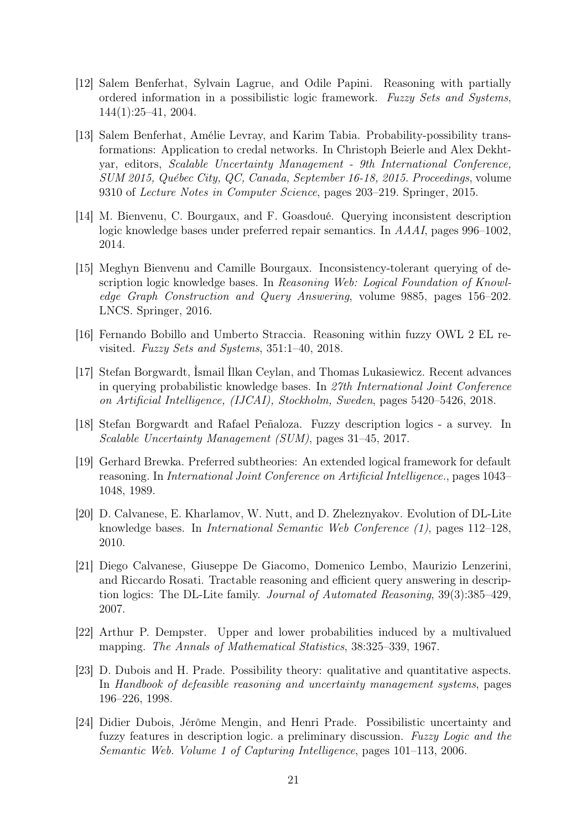- [12] Salem Benferhat, Sylvain Lagrue, and Odile Papini. Reasoning with partially ordered information in a possibilistic logic framework. Fuzzy Sets and Systems, 144(1):25–41, 2004.
- [13] Salem Benferhat, Amélie Levray, and Karim Tabia. Probability-possibility transformations: Application to credal networks. In Christoph Beierle and Alex Dekhtyar, editors, Scalable Uncertainty Management - 9th International Conference, SUM 2015, Québec City, QC, Canada, September 16-18, 2015. Proceedings, volume 9310 of Lecture Notes in Computer Science, pages 203–219. Springer, 2015.
- [14] M. Bienvenu, C. Bourgaux, and F. Goasdoué. Querying inconsistent description logic knowledge bases under preferred repair semantics. In AAAI, pages 996–1002, 2014.
- [15] Meghyn Bienvenu and Camille Bourgaux. Inconsistency-tolerant querying of description logic knowledge bases. In Reasoning Web: Logical Foundation of Knowledge Graph Construction and Query Answering, volume 9885, pages 156–202. LNCS. Springer, 2016.
- [16] Fernando Bobillo and Umberto Straccia. Reasoning within fuzzy OWL 2 EL revisited. Fuzzy Sets and Systems, 351:1–40, 2018.
- [17] Stefan Borgwardt, İsmail İlkan Ceylan, and Thomas Lukasiewicz. Recent advances in querying probabilistic knowledge bases. In 27th International Joint Conference on Artificial Intelligence, (IJCAI), Stockholm, Sweden, pages 5420–5426, 2018.
- [18] Stefan Borgwardt and Rafael Peñaloza. Fuzzy description logics a survey. In Scalable Uncertainty Management (SUM), pages 31–45, 2017.
- [19] Gerhard Brewka. Preferred subtheories: An extended logical framework for default reasoning. In International Joint Conference on Artificial Intelligence., pages 1043– 1048, 1989.
- [20] D. Calvanese, E. Kharlamov, W. Nutt, and D. Zheleznyakov. Evolution of DL-Lite knowledge bases. In International Semantic Web Conference (1), pages 112–128, 2010.
- [21] Diego Calvanese, Giuseppe De Giacomo, Domenico Lembo, Maurizio Lenzerini, and Riccardo Rosati. Tractable reasoning and efficient query answering in description logics: The DL-Lite family. Journal of Automated Reasoning, 39(3):385–429, 2007.
- [22] Arthur P. Dempster. Upper and lower probabilities induced by a multivalued mapping. The Annals of Mathematical Statistics, 38:325–339, 1967.
- [23] D. Dubois and H. Prade. Possibility theory: qualitative and quantitative aspects. In Handbook of defeasible reasoning and uncertainty management systems, pages 196–226, 1998.
- [24] Didier Dubois, Jérôme Mengin, and Henri Prade. Possibilistic uncertainty and fuzzy features in description logic. a preliminary discussion. Fuzzy Logic and the Semantic Web. Volume 1 of Capturing Intelligence, pages 101–113, 2006.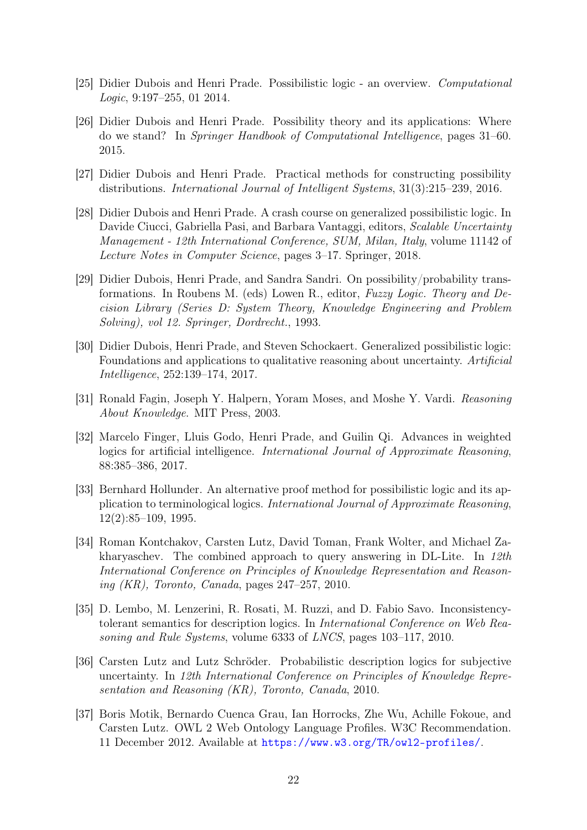- [25] Didier Dubois and Henri Prade. Possibilistic logic an overview. Computational Logic, 9:197–255, 01 2014.
- [26] Didier Dubois and Henri Prade. Possibility theory and its applications: Where do we stand? In Springer Handbook of Computational Intelligence, pages 31–60. 2015.
- [27] Didier Dubois and Henri Prade. Practical methods for constructing possibility distributions. International Journal of Intelligent Systems, 31(3):215–239, 2016.
- [28] Didier Dubois and Henri Prade. A crash course on generalized possibilistic logic. In Davide Ciucci, Gabriella Pasi, and Barbara Vantaggi, editors, Scalable Uncertainty Management - 12th International Conference, SUM, Milan, Italy, volume 11142 of Lecture Notes in Computer Science, pages 3–17. Springer, 2018.
- [29] Didier Dubois, Henri Prade, and Sandra Sandri. On possibility/probability transformations. In Roubens M. (eds) Lowen R., editor, Fuzzy Logic. Theory and Decision Library (Series D: System Theory, Knowledge Engineering and Problem Solving), vol 12. Springer, Dordrecht., 1993.
- [30] Didier Dubois, Henri Prade, and Steven Schockaert. Generalized possibilistic logic: Foundations and applications to qualitative reasoning about uncertainty. Artificial Intelligence, 252:139–174, 2017.
- [31] Ronald Fagin, Joseph Y. Halpern, Yoram Moses, and Moshe Y. Vardi. Reasoning About Knowledge. MIT Press, 2003.
- [32] Marcelo Finger, Lluis Godo, Henri Prade, and Guilin Qi. Advances in weighted logics for artificial intelligence. International Journal of Approximate Reasoning, 88:385–386, 2017.
- [33] Bernhard Hollunder. An alternative proof method for possibilistic logic and its application to terminological logics. International Journal of Approximate Reasoning, 12(2):85–109, 1995.
- [34] Roman Kontchakov, Carsten Lutz, David Toman, Frank Wolter, and Michael Zakharyaschev. The combined approach to query answering in DL-Lite. In 12th International Conference on Principles of Knowledge Representation and Reasoning  $(KR)$ , Toronto, Canada, pages 247–257, 2010.
- [35] D. Lembo, M. Lenzerini, R. Rosati, M. Ruzzi, and D. Fabio Savo. Inconsistencytolerant semantics for description logics. In International Conference on Web Reasoning and Rule Systems, volume 6333 of LNCS, pages 103–117, 2010.
- [36] Carsten Lutz and Lutz Schröder. Probabilistic description logics for subjective uncertainty. In 12th International Conference on Principles of Knowledge Representation and Reasoning (KR), Toronto, Canada, 2010.
- [37] Boris Motik, Bernardo Cuenca Grau, Ian Horrocks, Zhe Wu, Achille Fokoue, and Carsten Lutz. OWL 2 Web Ontology Language Profiles. W3C Recommendation. 11 December 2012. Available at <https://www.w3.org/TR/owl2-profiles/>.